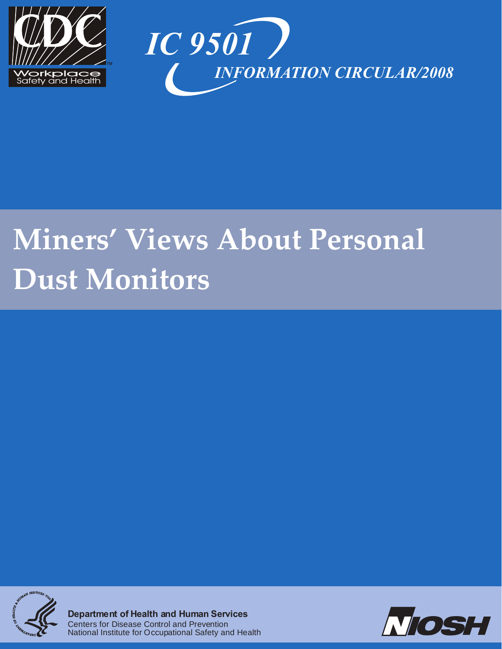



# **Miners' Views About Personal Dust Monitors**



**Department of Health and Human Services** Centers for Disease Control and Prevention National Institute for Occupational Safety and Health

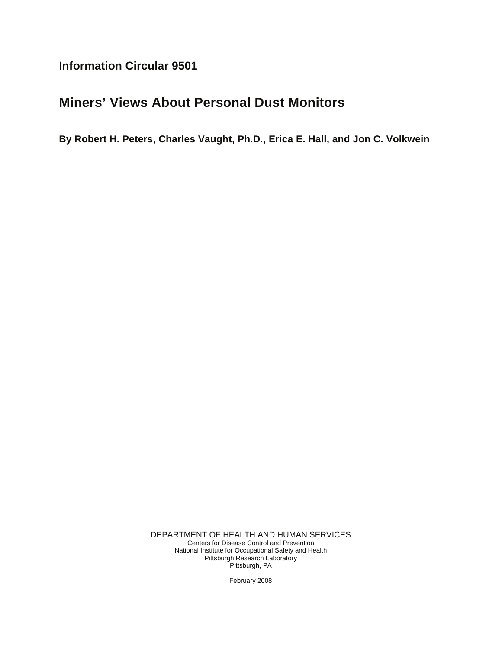**Information Circular 9501** 

# **Miners' Views About Personal Dust Monitors**

**By Robert H. Peters, Charles Vaught, Ph.D., Erica E. Hall, and Jon C. Volkwein** 

DEPARTMENT OF HEALTH AND HUMAN SERVICES Centers for Disease Control and Prevention National Institute for Occupational Safety and Health Pittsburgh Research Laboratory Pittsburgh, PA

February 2008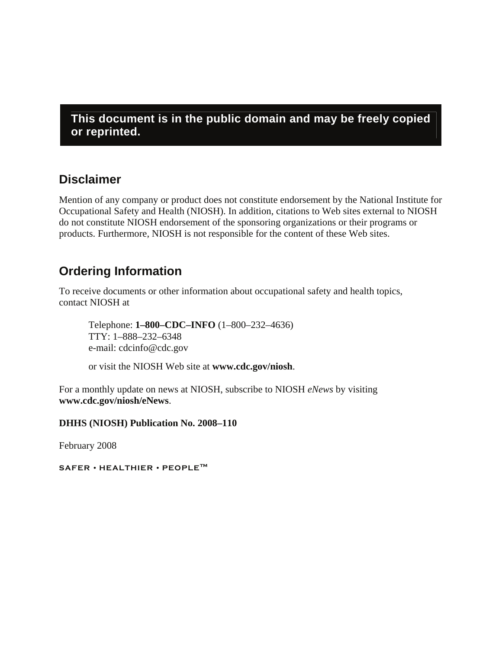**This document is in the public domain and may be freely copied or reprinted.** 

# **Disclaimer**

Mention of any company or product does not constitute endorsement by the National Institute for Occupational Safety and Health (NIOSH). In addition, citations to Web sites external to NIOSH do not constitute NIOSH endorsement of the sponsoring organizations or their programs or products. Furthermore, NIOSH is not responsible for the content of these Web sites.

# **Ordering Information**

To receive documents or other information about occupational safety and health topics, contact NIOSH at

Telephone: **1–800–CDC–INFO** (1–800–232–4636) TTY: 1–888–232–6348 e-mail: cdcinfo@cdc.gov

or visit the NIOSH Web site at **www.cdc.gov/niosh**.

For a monthly update on news at NIOSH, subscribe to NIOSH *eNews* by visiting **www.cdc.gov/niosh/eNews**.

**DHHS (NIOSH) Publication No. 2008–110** 

February 2008

**SAFER • HEALTHIER • PEOPLE™**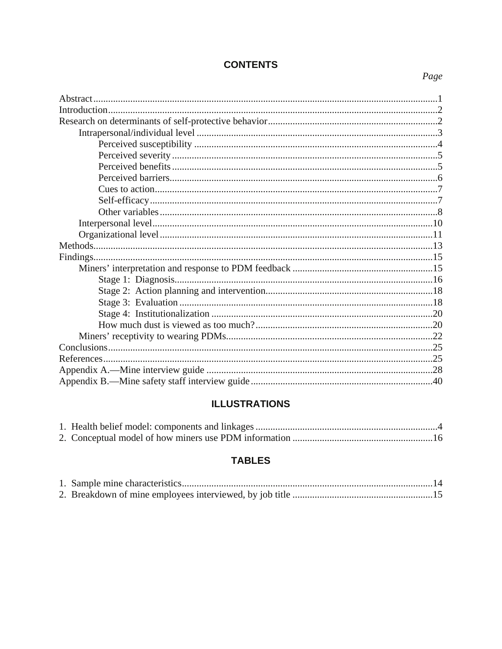# **CONTENTS**

# Page

# **ILLUSTRATIONS**

# **TABLES**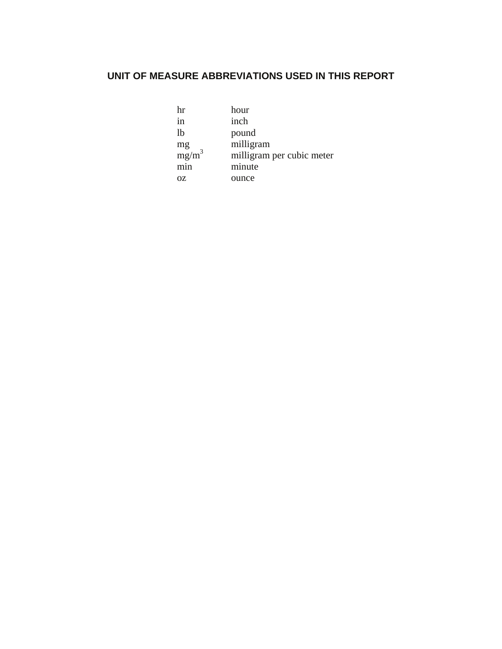# **UNIT OF MEASURE ABBREVIATIONS USED IN THIS REPORT**

| hr  | hour                      |
|-----|---------------------------|
| 1n  | inch                      |
| lb  | pound                     |
|     | milligram                 |
|     | milligram per cubic meter |
| min | minute                    |
| 0Z  | ounce                     |
|     | $mg/m^3$                  |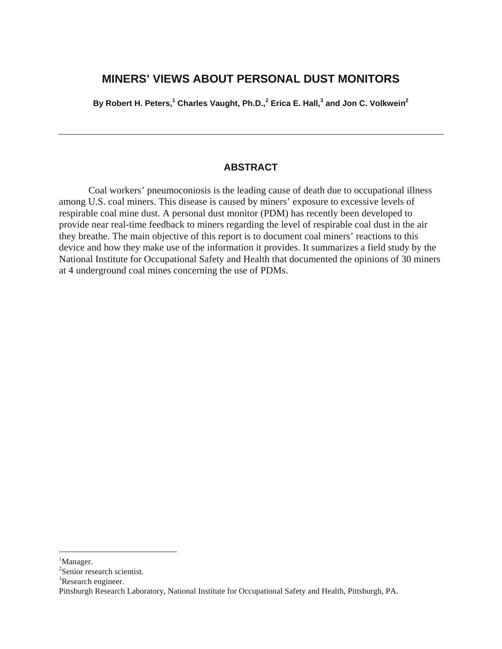# **MINERS' VIEWS ABOUT PERSONAL DUST MONITORS**

By Robert H. Peters,<sup>1</sup> Charles Vaught, Ph.D.,<sup>[2](#page-6-0)</sup> Erica E. Hall,<sup>3</sup> and Jon C. Volkwein<sup>2</sup>

## **ABSTRACT**

Coal workers' pneumoconiosis is the leading cause of death due to occupational illness among U.S. coal miners. This disease is caused by miners' exposure to excessive levels of respirable coal mine dust. A personal dust monitor (PDM) has recently been developed to provide near real-time feedback to miners regarding the level of respirable coal dust in the air they breathe. The main objective of this report is to document coal miners' reactions to this device and how they make use of the information it provides. It summarizes a field study by the National Institute for Occupational Safety and Health that documented the opinions of 30 miners at 4 underground coal mines concerning the use of PDMs.

 $\overline{a}$ 

<sup>&</sup>lt;sup>1</sup>Manager.

<sup>2</sup> Senior research scientist.

<sup>&</sup>lt;sup>3</sup>Research engineer.

Pittsburgh Research Laboratory, National Institute for Occupational Safety and Health, Pittsburgh, PA.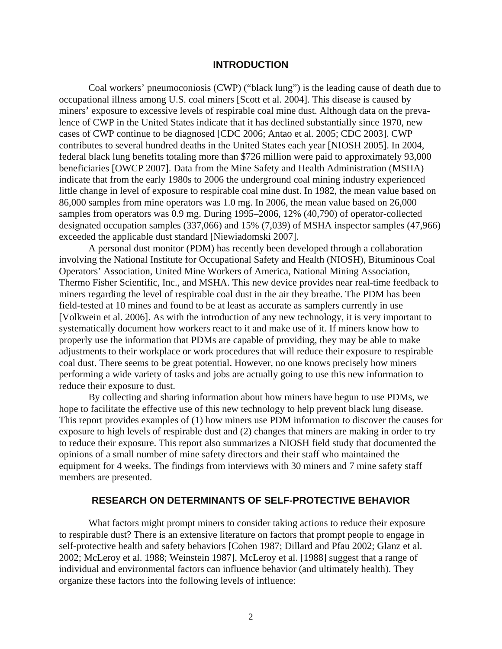#### **INTRODUCTION**

<span id="page-6-0"></span>Coal workers' pneumoconiosis (CWP) ("black lung") is the leading cause of death due to occupational illness among U.S. coal miners [Scott et al. 2004]. This disease is caused by miners' exposure to excessive levels of respirable coal mine dust. Although data on the prevalence of CWP in the United States indicate that it has declined substantially since 1970, new cases of CWP continue to be diagnosed [CDC 2006; Antao et al. 2005; CDC 2003]. CWP contributes to several hundred deaths in the United States each year [NIOSH 2005]. In 2004, federal black lung benefits totaling more than \$726 million were paid to approximately 93,000 beneficiaries [OWCP 2007]. Data from the Mine Safety and Health Administration (MSHA) indicate that from the early 1980s to 2006 the underground coal mining industry experienced little change in level of exposure to respirable coal mine dust. In 1982, the mean value based on 86,000 samples from mine operators was 1.0 mg. In 2006, the mean value based on 26,000 samples from operators was 0.9 mg. During 1995–2006, 12% (40,790) of operator-collected designated occupation samples (337,066) and 15% (7,039) of MSHA inspector samples (47,966) exceeded the applicable dust standard [Niewiadomski 2007].

A personal dust monitor (PDM) has recently been developed through a collaboration involving the National Institute for Occupational Safety and Health (NIOSH), Bituminous Coal Operators' Association, United Mine Workers of America, National Mining Association, Thermo Fisher Scientific, Inc., and MSHA. This new device provides near real-time feedback to miners regarding the level of respirable coal dust in the air they breathe. The PDM has been field-tested at 10 mines and found to be at least as accurate as samplers currently in use [Volkwein et al. 2006]. As with the introduction of any new technology, it is very important to systematically document how workers react to it and make use of it. If miners know how to properly use the information that PDMs are capable of providing, they may be able to make adjustments to their workplace or work procedures that will reduce their exposure to respirable coal dust. There seems to be great potential. However, no one knows precisely how miners performing a wide variety of tasks and jobs are actually going to use this new information to reduce their exposure to dust.

By collecting and sharing information about how miners have begun to use PDMs, we hope to facilitate the effective use of this new technology to help prevent black lung disease. This report provides examples of (1) how miners use PDM information to discover the causes for exposure to high levels of respirable dust and (2) changes that miners are making in order to try to reduce their exposure. This report also summarizes a NIOSH field study that documented the opinions of a small number of mine safety directors and their staff who maintained the equipment for 4 weeks. The findings from interviews with 30 miners and 7 mine safety staff members are presented.

#### **RESEARCH ON DETERMINANTS OF SELF-PROTECTIVE BEHAVIOR**

What factors might prompt miners to consider taking actions to reduce their exposure to respirable dust? There is an extensive literature on factors that prompt people to engage in self-protective health and safety behaviors [Cohen 1987; Dillard and Pfau 2002; Glanz et al. 2002; McLeroy et al. 1988; Weinstein 1987]. McLeroy et al. [1988] suggest that a range of individual and environmental factors can influence behavior (and ultimately health). They organize these factors into the following levels of influence: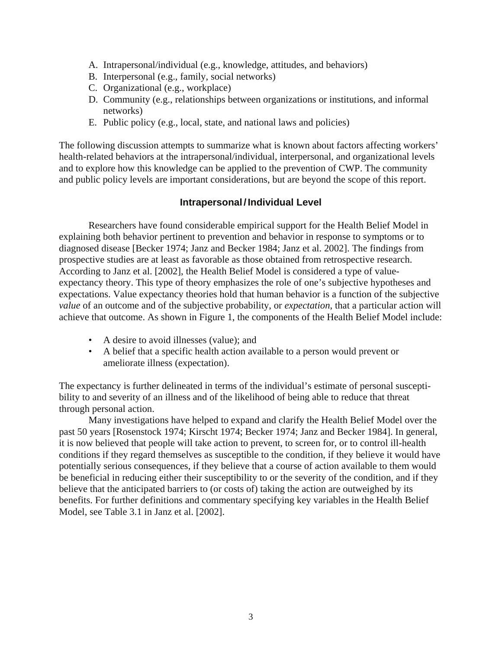- <span id="page-7-0"></span>A. Intrapersonal/individual (e.g., knowledge, attitudes, and behaviors)
- B. Interpersonal (e.g., family, social networks)
- C. Organizational (e.g., workplace)
- D. Community (e.g., relationships between organizations or institutions, and informal networks)
- E. Public policy (e.g., local, state, and national laws and policies)

The following discussion attempts to summarize what is known about factors affecting workers' health-related behaviors at the intrapersonal/individual, interpersonal, and organizational levels and to explore how this knowledge can be applied to the prevention of CWP. The community and public policy levels are important considerations, but are beyond the scope of this report.

# **Intrapersonal / Individual Level**

Researchers have found considerable empirical support for the Health Belief Model in explaining both behavior pertinent to prevention and behavior in response to symptoms or to diagnosed disease [Becker 1974; Janz and Becker 1984; Janz et al. 2002]. The findings from prospective studies are at least as favorable as those obtained from retrospective research. According to Janz et al. [2002], the Health Belief Model is considered a type of valueexpectancy theory. This type of theory emphasizes the role of one's subjective hypotheses and expectations. Value expectancy theories hold that human behavior is a function of the subjective *value* of an outcome and of the subjective probability, or *expectation*, that a particular action will achieve that outcome. As shown in Figure 1, the components of the Health Belief Model include:

- A desire to avoid illnesses (value); and
- • A belief that a specific health action available to a person would prevent or ameliorate illness (expectation).

The expectancy is further delineated in terms of the individual's estimate of personal susceptibility to and severity of an illness and of the likelihood of being able to reduce that threat through personal action.

Many investigations have helped to expand and clarify the Health Belief Model over the past 50 years [Rosenstock 1974; Kirscht 1974; Becker 1974; Janz and Becker 1984]. In general, it is now believed that people will take action to prevent, to screen for, or to control ill-health conditions if they regard themselves as susceptible to the condition, if they believe it would have potentially serious consequences, if they believe that a course of action available to them would be beneficial in reducing either their susceptibility to or the severity of the condition, and if they believe that the anticipated barriers to (or costs of) taking the action are outweighed by its benefits. For further definitions and commentary specifying key variables in the Health Belief Model, see Table 3.1 in Janz et al. [2002].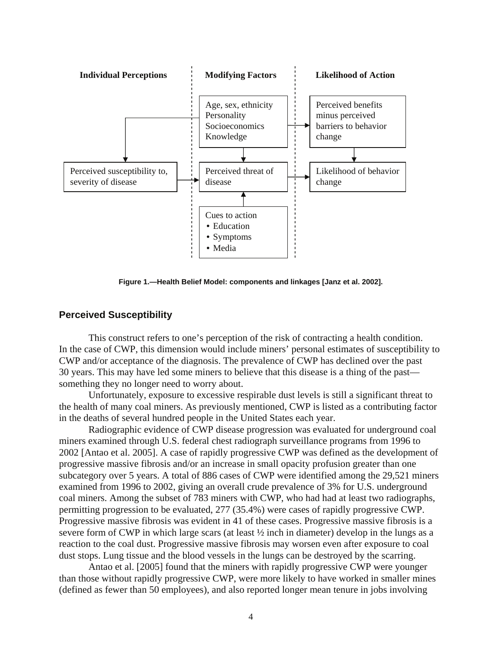<span id="page-8-0"></span>

**Figure 1.—Health Belief Model: components and linkages [Janz et al. 2002].** 

#### **Perceived Susceptibility**

This construct refers to one's perception of the risk of contracting a health condition. In the case of CWP, this dimension would include miners' personal estimates of susceptibility to CWP and/or acceptance of the diagnosis. The prevalence of CWP has declined over the past 30 years. This may have led some miners to believe that this disease is a thing of the past something they no longer need to worry about.

Unfortunately, exposure to excessive respirable dust levels is still a significant threat to the health of many coal miners. As previously mentioned, CWP is listed as a contributing factor in the deaths of several hundred people in the United States each year.

Radiographic evidence of CWP disease progression was evaluated for underground coal miners examined through U.S. federal chest radiograph surveillance programs from 1996 to 2002 [Antao et al. 2005]. A case of rapidly progressive CWP was defined as the development of progressive massive fibrosis and/or an increase in small opacity profusion greater than one subcategory over 5 years. A total of 886 cases of CWP were identified among the 29,521 miners examined from 1996 to 2002, giving an overall crude prevalence of 3% for U.S. underground coal miners. Among the subset of 783 miners with CWP, who had had at least two radiographs, permitting progression to be evaluated, 277 (35.4%) were cases of rapidly progressive CWP. Progressive massive fibrosis was evident in 41 of these cases. Progressive massive fibrosis is a severe form of CWP in which large scars (at least  $\frac{1}{2}$  inch in diameter) develop in the lungs as a reaction to the coal dust. Progressive massive fibrosis may worsen even after exposure to coal dust stops. Lung tissue and the blood vessels in the lungs can be destroyed by the scarring.

Antao et al. [2005] found that the miners with rapidly progressive CWP were younger than those without rapidly progressive CWP, were more likely to have worked in smaller mines (defined as fewer than 50 employees), and also reported longer mean tenure in jobs involving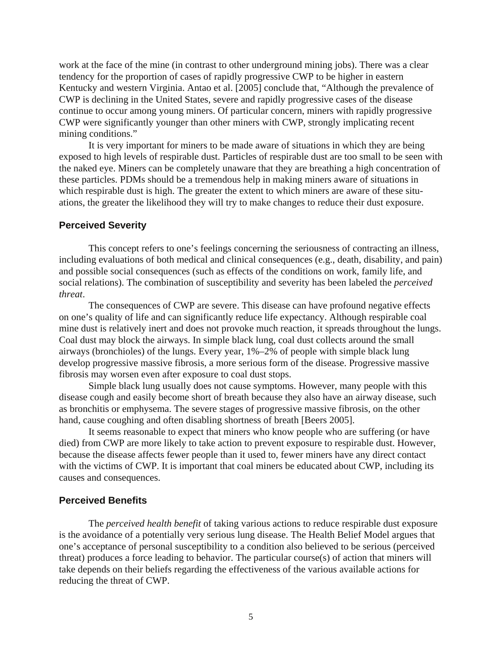<span id="page-9-0"></span>work at the face of the mine (in contrast to other underground mining jobs). There was a clear tendency for the proportion of cases of rapidly progressive CWP to be higher in eastern Kentucky and western Virginia. Antao et al. [2005] conclude that, "Although the prevalence of CWP is declining in the United States, severe and rapidly progressive cases of the disease continue to occur among young miners. Of particular concern, miners with rapidly progressive CWP were significantly younger than other miners with CWP, strongly implicating recent mining conditions."

It is very important for miners to be made aware of situations in which they are being exposed to high levels of respirable dust. Particles of respirable dust are too small to be seen with the naked eye. Miners can be completely unaware that they are breathing a high concentration of these particles. PDMs should be a tremendous help in making miners aware of situations in which respirable dust is high. The greater the extent to which miners are aware of these situations, the greater the likelihood they will try to make changes to reduce their dust exposure.

#### **Perceived Severity**

This concept refers to one's feelings concerning the seriousness of contracting an illness, including evaluations of both medical and clinical consequences (e.g., death, disability, and pain) and possible social consequences (such as effects of the conditions on work, family life, and social relations). The combination of susceptibility and severity has been labeled the *perceived threat*.

The consequences of CWP are severe. This disease can have profound negative effects on one's quality of life and can significantly reduce life expectancy. Although respirable coal mine dust is relatively inert and does not provoke much reaction, it spreads throughout the lungs. Coal dust may block the airways. In simple black lung, coal dust collects around the small airways (bronchioles) of the lungs. Every year, 1%–2% of people with simple black lung develop progressive massive fibrosis, a more serious form of the disease. Progressive massive fibrosis may worsen even after exposure to coal dust stops.

Simple black lung usually does not cause symptoms. However, many people with this disease cough and easily become short of breath because they also have an airway disease, such as bronchitis or emphysema. The severe stages of progressive massive fibrosis, on the other hand, cause coughing and often disabling shortness of breath [Beers 2005].

It seems reasonable to expect that miners who know people who are suffering (or have died) from CWP are more likely to take action to prevent exposure to respirable dust. However, because the disease affects fewer people than it used to, fewer miners have any direct contact with the victims of CWP. It is important that coal miners be educated about CWP, including its causes and consequences.

#### **Perceived Benefits**

The *perceived health benefit* of taking various actions to reduce respirable dust exposure is the avoidance of a potentially very serious lung disease. The Health Belief Model argues that one's acceptance of personal susceptibility to a condition also believed to be serious (perceived threat) produces a force leading to behavior. The particular course(s) of action that miners will take depends on their beliefs regarding the effectiveness of the various available actions for reducing the threat of CWP.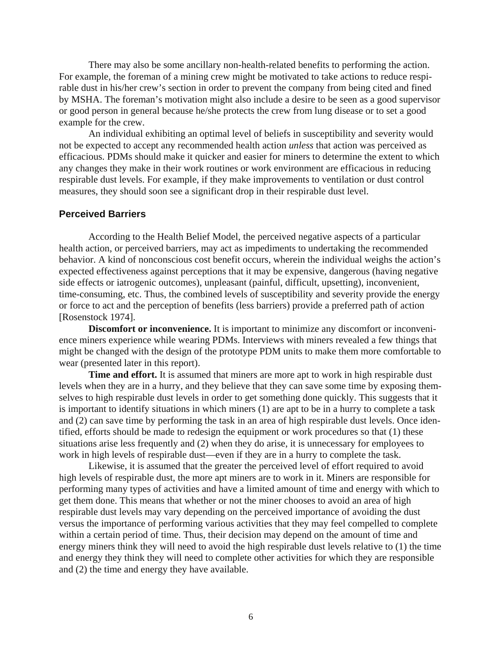<span id="page-10-0"></span>There may also be some ancillary non-health-related benefits to performing the action. For example, the foreman of a mining crew might be motivated to take actions to reduce respirable dust in his/her crew's section in order to prevent the company from being cited and fined by MSHA. The foreman's motivation might also include a desire to be seen as a good supervisor or good person in general because he/she protects the crew from lung disease or to set a good example for the crew.

An individual exhibiting an optimal level of beliefs in susceptibility and severity would not be expected to accept any recommended health action *unless* that action was perceived as efficacious. PDMs should make it quicker and easier for miners to determine the extent to which any changes they make in their work routines or work environment are efficacious in reducing respirable dust levels. For example, if they make improvements to ventilation or dust control measures, they should soon see a significant drop in their respirable dust level.

#### **Perceived Barriers**

According to the Health Belief Model, the perceived negative aspects of a particular health action, or perceived barriers, may act as impediments to undertaking the recommended behavior. A kind of nonconscious cost benefit occurs, wherein the individual weighs the action's expected effectiveness against perceptions that it may be expensive, dangerous (having negative side effects or iatrogenic outcomes), unpleasant (painful, difficult, upsetting), inconvenient, time-consuming, etc. Thus, the combined levels of susceptibility and severity provide the energy or force to act and the perception of benefits (less barriers) provide a preferred path of action [Rosenstock 1974].

**Discomfort or inconvenience.** It is important to minimize any discomfort or inconvenience miners experience while wearing PDMs. Interviews with miners revealed a few things that might be changed with the design of the prototype PDM units to make them more comfortable to wear (presented later in this report).

**Time and effort.** It is assumed that miners are more apt to work in high respirable dust levels when they are in a hurry, and they believe that they can save some time by exposing themselves to high respirable dust levels in order to get something done quickly. This suggests that it is important to identify situations in which miners (1) are apt to be in a hurry to complete a task and (2) can save time by performing the task in an area of high respirable dust levels. Once identified, efforts should be made to redesign the equipment or work procedures so that (1) these situations arise less frequently and (2) when they do arise, it is unnecessary for employees to work in high levels of respirable dust—even if they are in a hurry to complete the task.

Likewise, it is assumed that the greater the perceived level of effort required to avoid high levels of respirable dust, the more apt miners are to work in it. Miners are responsible for performing many types of activities and have a limited amount of time and energy with which to get them done. This means that whether or not the miner chooses to avoid an area of high respirable dust levels may vary depending on the perceived importance of avoiding the dust versus the importance of performing various activities that they may feel compelled to complete within a certain period of time. Thus, their decision may depend on the amount of time and energy miners think they will need to avoid the high respirable dust levels relative to (1) the time and energy they think they will need to complete other activities for which they are responsible and (2) the time and energy they have available.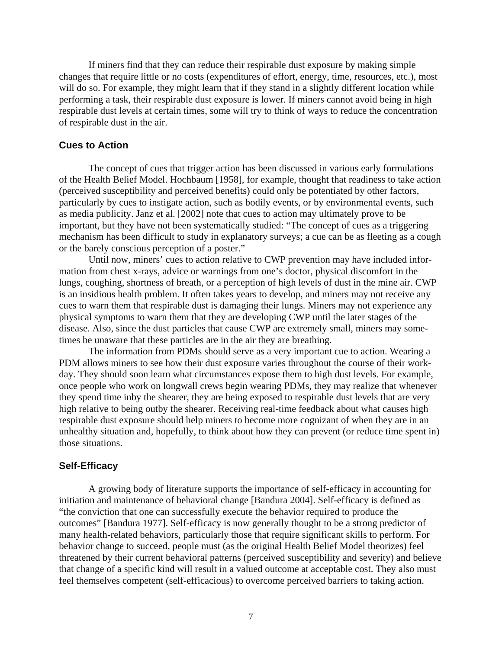<span id="page-11-0"></span>If miners find that they can reduce their respirable dust exposure by making simple changes that require little or no costs (expenditures of effort, energy, time, resources, etc.), most will do so. For example, they might learn that if they stand in a slightly different location while performing a task, their respirable dust exposure is lower. If miners cannot avoid being in high respirable dust levels at certain times, some will try to think of ways to reduce the concentration of respirable dust in the air.

#### **Cues to Action**

The concept of cues that trigger action has been discussed in various early formulations of the Health Belief Model. Hochbaum [1958], for example, thought that readiness to take action (perceived susceptibility and perceived benefits) could only be potentiated by other factors, particularly by cues to instigate action, such as bodily events, or by environmental events, such as media publicity. Janz et al. [2002] note that cues to action may ultimately prove to be important, but they have not been systematically studied: "The concept of cues as a triggering mechanism has been difficult to study in explanatory surveys; a cue can be as fleeting as a cough or the barely conscious perception of a poster."

Until now, miners' cues to action relative to CWP prevention may have included information from chest x-rays, advice or warnings from one's doctor, physical discomfort in the lungs, coughing, shortness of breath, or a perception of high levels of dust in the mine air. CWP is an insidious health problem. It often takes years to develop, and miners may not receive any cues to warn them that respirable dust is damaging their lungs. Miners may not experience any physical symptoms to warn them that they are developing CWP until the later stages of the disease. Also, since the dust particles that cause CWP are extremely small, miners may sometimes be unaware that these particles are in the air they are breathing.

The information from PDMs should serve as a very important cue to action. Wearing a PDM allows miners to see how their dust exposure varies throughout the course of their workday. They should soon learn what circumstances expose them to high dust levels. For example, once people who work on longwall crews begin wearing PDMs, they may realize that whenever they spend time inby the shearer, they are being exposed to respirable dust levels that are very high relative to being outby the shearer. Receiving real-time feedback about what causes high respirable dust exposure should help miners to become more cognizant of when they are in an unhealthy situation and, hopefully, to think about how they can prevent (or reduce time spent in) those situations.

#### **Self-Efficacy**

A growing body of literature supports the importance of self-efficacy in accounting for initiation and maintenance of behavioral change [Bandura 2004]. Self-efficacy is defined as "the conviction that one can successfully execute the behavior required to produce the outcomes" [Bandura 1977]. Self-efficacy is now generally thought to be a strong predictor of many health-related behaviors, particularly those that require significant skills to perform. For behavior change to succeed, people must (as the original Health Belief Model theorizes) feel threatened by their current behavioral patterns (perceived susceptibility and severity) and believe that change of a specific kind will result in a valued outcome at acceptable cost. They also must feel themselves competent (self-efficacious) to overcome perceived barriers to taking action.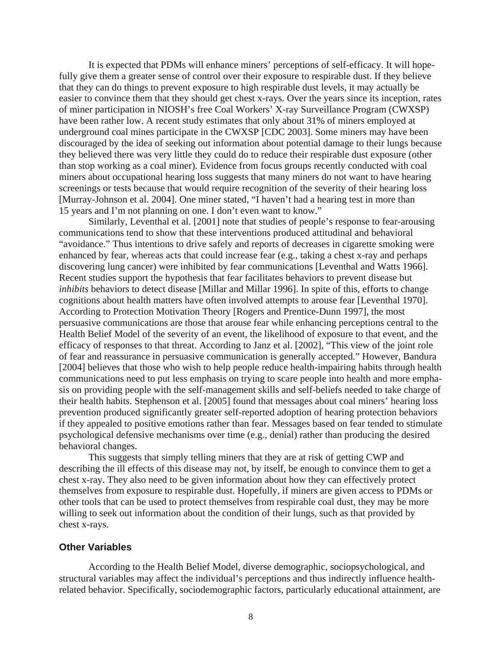<span id="page-12-0"></span>It is expected that PDMs will enhance miners' perceptions of self-efficacy. It will hopefully give them a greater sense of control over their exposure to respirable dust. If they believe that they can do things to prevent exposure to high respirable dust levels, it may actually be easier to convince them that they should get chest x-rays. Over the years since its inception, rates of miner participation in NIOSH's free Coal Workers' X-ray Surveillance Program (CWXSP) have been rather low. A recent study estimates that only about 31% of miners employed at underground coal mines participate in the CWXSP [CDC 2003]. Some miners may have been discouraged by the idea of seeking out information about potential damage to their lungs because they believed there was very little they could do to reduce their respirable dust exposure (other than stop working as a coal miner). Evidence from focus groups recently conducted with coal miners about occupational hearing loss suggests that many miners do not want to have hearing screenings or tests because that would require recognition of the severity of their hearing loss [Murray-Johnson et al. 2004]. One miner stated, "I haven't had a hearing test in more than 15 years and I'm not planning on one. I don't even want to know."

Similarly, Leventhal et al. [2001] note that studies of people's response to fear-arousing communications tend to show that these interventions produced attitudinal and behavioral "avoidance." Thus intentions to drive safely and reports of decreases in cigarette smoking were enhanced by fear, whereas acts that could increase fear (e.g., taking a chest x-ray and perhaps discovering lung cancer) were inhibited by fear communications [Leventhal and Watts 1966]. Recent studies support the hypothesis that fear facilitates behaviors to prevent disease but *inhibits* behaviors to detect disease [Millar and Millar 1996]. In spite of this, efforts to change cognitions about health matters have often involved attempts to arouse fear [Leventhal 1970]. According to Protection Motivation Theory [Rogers and Prentice-Dunn 1997], the most persuasive communications are those that arouse fear while enhancing perceptions central to the Health Belief Model of the severity of an event, the likelihood of exposure to that event, and the efficacy of responses to that threat. According to Janz et al. [2002], "This view of the joint role of fear and reassurance in persuasive communication is generally accepted." However, Bandura [2004] believes that those who wish to help people reduce health-impairing habits through health communications need to put less emphasis on trying to scare people into health and more emphasis on providing people with the self-management skills and self-beliefs needed to take charge of their health habits. Stephenson et al. [2005] found that messages about coal miners' hearing loss prevention produced significantly greater self-reported adoption of hearing protection behaviors if they appealed to positive emotions rather than fear. Messages based on fear tended to stimulate psychological defensive mechanisms over time (e.g., denial) rather than producing the desired behavioral changes.

This suggests that simply telling miners that they are at risk of getting CWP and describing the ill effects of this disease may not, by itself, be enough to convince them to get a chest x-ray. They also need to be given information about how they can effectively protect themselves from exposure to respirable dust. Hopefully, if miners are given access to PDMs or other tools that can be used to protect themselves from respirable coal dust, they may be more willing to seek out information about the condition of their lungs, such as that provided by chest x-rays.

#### **Other Variables**

According to the Health Belief Model, diverse demographic, sociopsychological, and structural variables may affect the individual's perceptions and thus indirectly influence healthrelated behavior. Specifically, sociodemographic factors, particularly educational attainment, are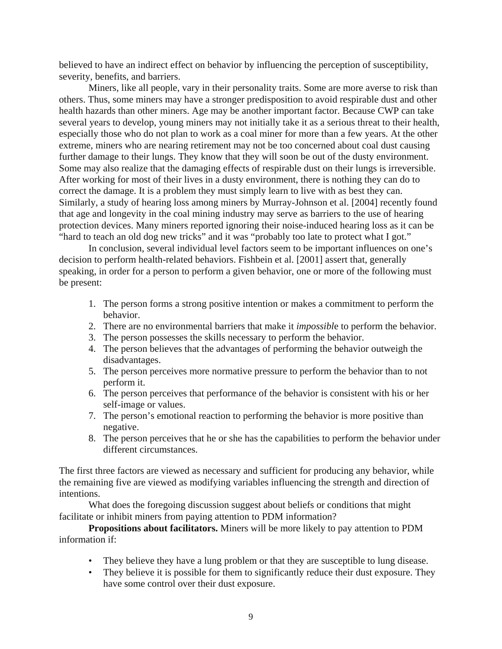believed to have an indirect effect on behavior by influencing the perception of susceptibility, severity, benefits, and barriers.

Miners, like all people, vary in their personality traits. Some are more averse to risk than others. Thus, some miners may have a stronger predisposition to avoid respirable dust and other health hazards than other miners. Age may be another important factor. Because CWP can take several years to develop, young miners may not initially take it as a serious threat to their health, especially those who do not plan to work as a coal miner for more than a few years. At the other extreme, miners who are nearing retirement may not be too concerned about coal dust causing further damage to their lungs. They know that they will soon be out of the dusty environment. Some may also realize that the damaging effects of respirable dust on their lungs is irreversible. After working for most of their lives in a dusty environment, there is nothing they can do to correct the damage. It is a problem they must simply learn to live with as best they can. Similarly, a study of hearing loss among miners by Murray-Johnson et al. [2004] recently found that age and longevity in the coal mining industry may serve as barriers to the use of hearing protection devices. Many miners reported ignoring their noise-induced hearing loss as it can be "hard to teach an old dog new tricks" and it was "probably too late to protect what I got."

In conclusion, several individual level factors seem to be important influences on one's decision to perform health-related behaviors. Fishbein et al. [2001] assert that, generally speaking, in order for a person to perform a given behavior, one or more of the following must be present:

- 1. The person forms a strong positive intention or makes a commitment to perform the behavior.
- 2. There are no environmental barriers that make it *impossibl*e to perform the behavior.
- 3. The person possesses the skills necessary to perform the behavior.
- 4. The person believes that the advantages of performing the behavior outweigh the disadvantages.
- 5. The person perceives more normative pressure to perform the behavior than to not perform it.
- 6. The person perceives that performance of the behavior is consistent with his or her self-image or values.
- 7. The person's emotional reaction to performing the behavior is more positive than negative.
- 8. The person perceives that he or she has the capabilities to perform the behavior under different circumstances.

The first three factors are viewed as necessary and sufficient for producing any behavior, while the remaining five are viewed as modifying variables influencing the strength and direction of intentions.

What does the foregoing discussion suggest about beliefs or conditions that might facilitate or inhibit miners from paying attention to PDM information?

**Propositions about facilitators.** Miners will be more likely to pay attention to PDM information if:

- They believe they have a lung problem or that they are susceptible to lung disease.
- They believe it is possible for them to significantly reduce their dust exposure. They have some control over their dust exposure.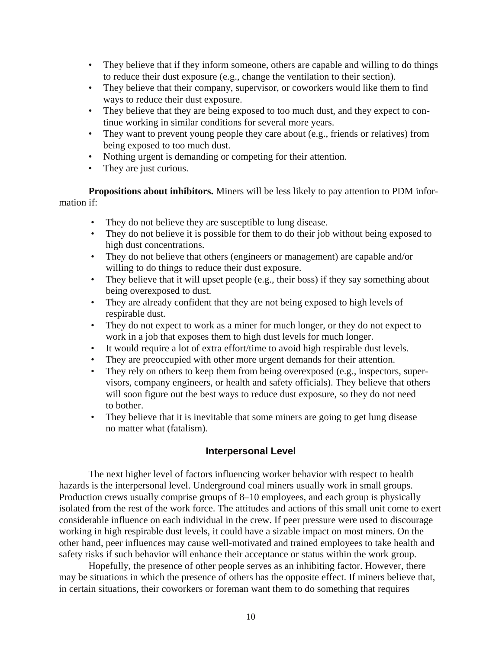- <span id="page-14-0"></span>• They believe that if they inform someone, others are capable and willing to do things to reduce their dust exposure (e.g., change the ventilation to their section).
- They believe that their company, supervisor, or coworkers would like them to find ways to reduce their dust exposure.
- They believe that they are being exposed to too much dust, and they expect to continue working in similar conditions for several more years.
- They want to prevent young people they care about (e.g., friends or relatives) from being exposed to too much dust.
- Nothing urgent is demanding or competing for their attention.
- They are just curious.

**Propositions about inhibitors.** Miners will be less likely to pay attention to PDM information if:

- They do not believe they are susceptible to lung disease.
- They do not believe it is possible for them to do their job without being exposed to high dust concentrations.
- They do not believe that others (engineers or management) are capable and/or willing to do things to reduce their dust exposure.
- They believe that it will upset people (e.g., their boss) if they say something about being overexposed to dust.
- They are already confident that they are not being exposed to high levels of respirable dust.
- They do not expect to work as a miner for much longer, or they do not expect to work in a job that exposes them to high dust levels for much longer.
- It would require a lot of extra effort/time to avoid high respirable dust levels.
- They are preoccupied with other more urgent demands for their attention.
- They rely on others to keep them from being overexposed (e.g., inspectors, supervisors, company engineers, or health and safety officials). They believe that others will soon figure out the best ways to reduce dust exposure, so they do not need to bother.
- They believe that it is inevitable that some miners are going to get lung disease no matter what (fatalism).

# **Interpersonal Level**

The next higher level of factors influencing worker behavior with respect to health hazards is the interpersonal level. Underground coal miners usually work in small groups. Production crews usually comprise groups of 8–10 employees, and each group is physically isolated from the rest of the work force. The attitudes and actions of this small unit come to exert considerable influence on each individual in the crew. If peer pressure were used to discourage working in high respirable dust levels, it could have a sizable impact on most miners. On the other hand, peer influences may cause well-motivated and trained employees to take health and safety risks if such behavior will enhance their acceptance or status within the work group.

Hopefully, the presence of other people serves as an inhibiting factor. However, there may be situations in which the presence of others has the opposite effect. If miners believe that, in certain situations, their coworkers or foreman want them to do something that requires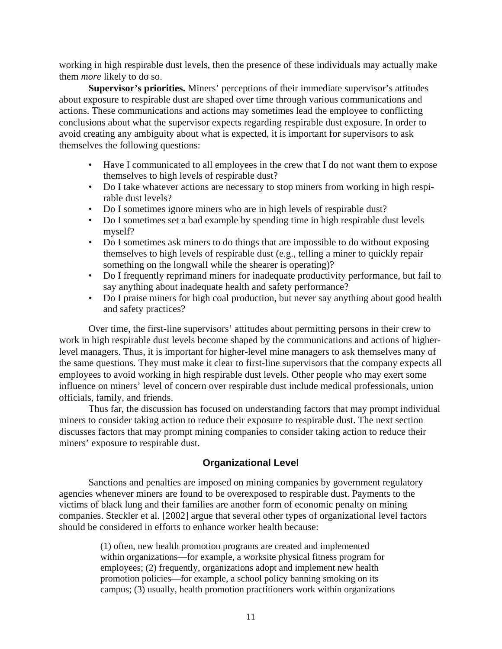<span id="page-15-0"></span>working in high respirable dust levels, then the presence of these individuals may actually make them *more* likely to do so.

**Supervisor's priorities.** Miners' perceptions of their immediate supervisor's attitudes about exposure to respirable dust are shaped over time through various communications and actions. These communications and actions may sometimes lead the employee to conflicting conclusions about what the supervisor expects regarding respirable dust exposure. In order to avoid creating any ambiguity about what is expected, it is important for supervisors to ask themselves the following questions:

- Have I communicated to all employees in the crew that I do not want them to expose themselves to high levels of respirable dust?
- Do I take whatever actions are necessary to stop miners from working in high respirable dust levels?
- Do I sometimes ignore miners who are in high levels of respirable dust?
- Do I sometimes set a bad example by spending time in high respirable dust levels myself?
- Do I sometimes ask miners to do things that are impossible to do without exposing themselves to high levels of respirable dust (e.g., telling a miner to quickly repair something on the longwall while the shearer is operating)?
- Do I frequently reprimand miners for inadequate productivity performance, but fail to say anything about inadequate health and safety performance?
- Do I praise miners for high coal production, but never say anything about good health and safety practices?

Over time, the first-line supervisors' attitudes about permitting persons in their crew to work in high respirable dust levels become shaped by the communications and actions of higherlevel managers. Thus, it is important for higher-level mine managers to ask themselves many of the same questions. They must make it clear to first-line supervisors that the company expects all employees to avoid working in high respirable dust levels. Other people who may exert some influence on miners' level of concern over respirable dust include medical professionals, union officials, family, and friends.

Thus far, the discussion has focused on understanding factors that may prompt individual miners to consider taking action to reduce their exposure to respirable dust. The next section discusses factors that may prompt mining companies to consider taking action to reduce their miners' exposure to respirable dust.

# **Organizational Level**

Sanctions and penalties are imposed on mining companies by government regulatory agencies whenever miners are found to be overexposed to respirable dust. Payments to the victims of black lung and their families are another form of economic penalty on mining companies. Steckler et al. [2002] argue that several other types of organizational level factors should be considered in efforts to enhance worker health because:

> (1) often, new health promotion programs are created and implemented within organizations—for example, a worksite physical fitness program for employees; (2) frequently, organizations adopt and implement new health promotion policies—for example, a school policy banning smoking on its campus; (3) usually, health promotion practitioners work within organizations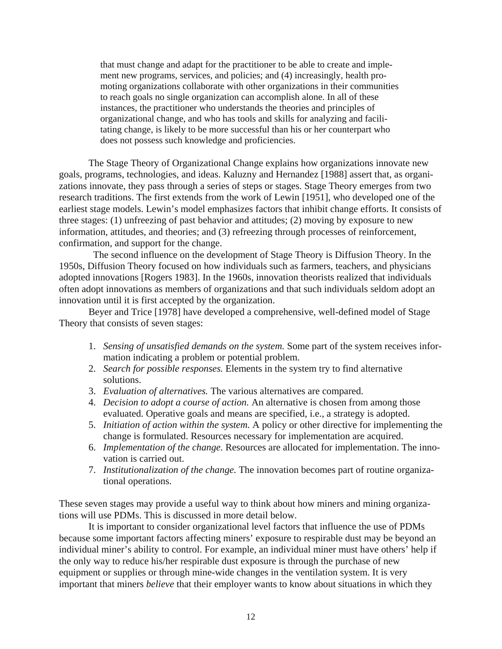that must change and adapt for the practitioner to be able to create and implement new programs, services, and policies; and (4) increasingly, health promoting organizations collaborate with other organizations in their communities to reach goals no single organization can accomplish alone. In all of these instances, the practitioner who understands the theories and principles of organizational change, and who has tools and skills for analyzing and facilitating change, is likely to be more successful than his or her counterpart who does not possess such knowledge and proficiencies.

The Stage Theory of Organizational Change explains how organizations innovate new goals, programs, technologies, and ideas. Kaluzny and Hernandez [1988] assert that, as organizations innovate, they pass through a series of steps or stages. Stage Theory emerges from two research traditions. The first extends from the work of Lewin [1951], who developed one of the earliest stage models. Lewin's model emphasizes factors that inhibit change efforts. It consists of three stages: (1) unfreezing of past behavior and attitudes; (2) moving by exposure to new information, attitudes, and theories; and (3) refreezing through processes of reinforcement, confirmation, and support for the change.

The second influence on the development of Stage Theory is Diffusion Theory. In the 1950s, Diffusion Theory focused on how individuals such as farmers, teachers, and physicians adopted innovations [Rogers 1983]. In the 1960s, innovation theorists realized that individuals often adopt innovations as members of organizations and that such individuals seldom adopt an innovation until it is first accepted by the organization.

Beyer and Trice [1978] have developed a comprehensive, well-defined model of Stage Theory that consists of seven stages:

- 1. *Sensing of unsatisfied demands on the system.* Some part of the system receives information indicating a problem or potential problem.
- 2. *Search for possible responses.* Elements in the system try to find alternative solutions.
- 3. *Evaluation of alternatives.* The various alternatives are compared.
- 4. *Decision to adopt a course of action*. An alternative is chosen from among those evaluated. Operative goals and means are specified, i.e., a strategy is adopted.
- 5. *Initiation of action within the system.* A policy or other directive for implementing the change is formulated. Resources necessary for implementation are acquired.
- 6. *Implementation of the change.* Resources are allocated for implementation. The innovation is carried out.
- 7. *Institutionalization of the change.* The innovation becomes part of routine organizational operations.

These seven stages may provide a useful way to think about how miners and mining organizations will use PDMs. This is discussed in more detail below.

It is important to consider organizational level factors that influence the use of PDMs because some important factors affecting miners' exposure to respirable dust may be beyond an individual miner's ability to control. For example, an individual miner must have others' help if the only way to reduce his/her respirable dust exposure is through the purchase of new equipment or supplies or through mine-wide changes in the ventilation system. It is very important that miners *believe* that their employer wants to know about situations in which they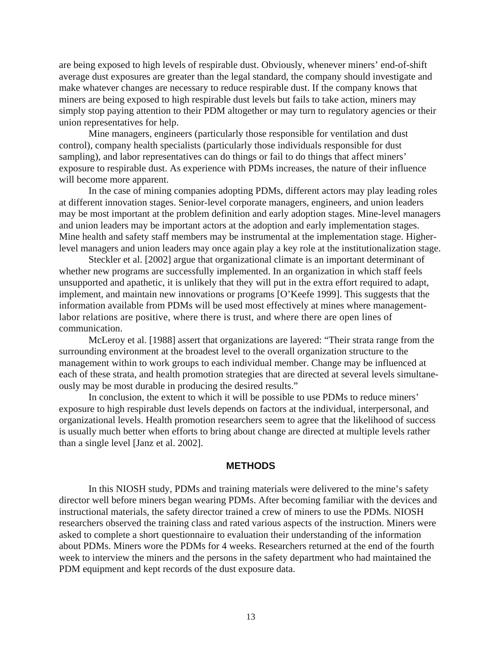<span id="page-17-0"></span>are being exposed to high levels of respirable dust. Obviously, whenever miners' end-of-shift average dust exposures are greater than the legal standard, the company should investigate and make whatever changes are necessary to reduce respirable dust. If the company knows that miners are being exposed to high respirable dust levels but fails to take action, miners may simply stop paying attention to their PDM altogether or may turn to regulatory agencies or their union representatives for help.

Mine managers, engineers (particularly those responsible for ventilation and dust control), company health specialists (particularly those individuals responsible for dust sampling), and labor representatives can do things or fail to do things that affect miners' exposure to respirable dust. As experience with PDMs increases, the nature of their influence will become more apparent.

In the case of mining companies adopting PDMs, different actors may play leading roles at different innovation stages. Senior-level corporate managers, engineers, and union leaders may be most important at the problem definition and early adoption stages. Mine-level managers and union leaders may be important actors at the adoption and early implementation stages. Mine health and safety staff members may be instrumental at the implementation stage. Higherlevel managers and union leaders may once again play a key role at the institutionalization stage.

Steckler et al. [2002] argue that organizational climate is an important determinant of whether new programs are successfully implemented. In an organization in which staff feels unsupported and apathetic, it is unlikely that they will put in the extra effort required to adapt, implement, and maintain new innovations or programs [O'Keefe 1999]. This suggests that the information available from PDMs will be used most effectively at mines where managementlabor relations are positive, where there is trust, and where there are open lines of communication.

McLeroy et al. [1988] assert that organizations are layered: "Their strata range from the surrounding environment at the broadest level to the overall organization structure to the management within to work groups to each individual member. Change may be influenced at each of these strata, and health promotion strategies that are directed at several levels simultaneously may be most durable in producing the desired results."

In conclusion, the extent to which it will be possible to use PDMs to reduce miners' exposure to high respirable dust levels depends on factors at the individual, interpersonal, and organizational levels. Health promotion researchers seem to agree that the likelihood of success is usually much better when efforts to bring about change are directed at multiple levels rather than a single level [Janz et al. 2002].

#### **METHODS**

In this NIOSH study, PDMs and training materials were delivered to the mine's safety director well before miners began wearing PDMs. After becoming familiar with the devices and instructional materials, the safety director trained a crew of miners to use the PDMs. NIOSH researchers observed the training class and rated various aspects of the instruction. Miners were asked to complete a short questionnaire to evaluation their understanding of the information about PDMs. Miners wore the PDMs for 4 weeks. Researchers returned at the end of the fourth week to interview the miners and the persons in the safety department who had maintained the PDM equipment and kept records of the dust exposure data.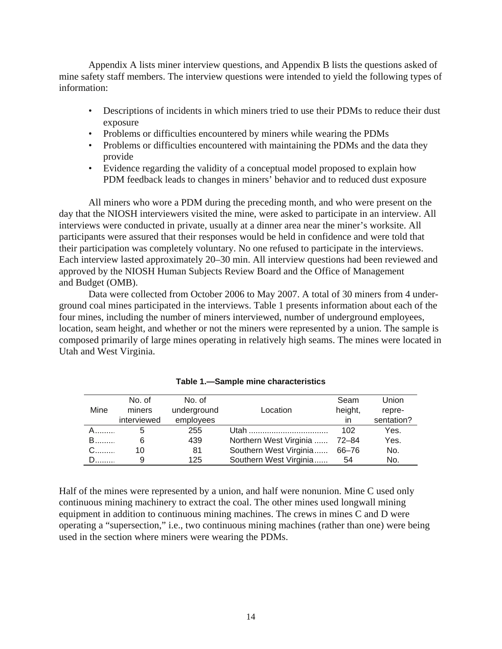<span id="page-18-0"></span>Appendix A lists miner interview questions, and Appendix B lists the questions asked of mine safety staff members. The interview questions were intended to yield the following types of information:

- Descriptions of incidents in which miners tried to use their PDMs to reduce their dust exposure
- Problems or difficulties encountered by miners while wearing the PDMs
- Problems or difficulties encountered with maintaining the PDMs and the data they provide
- Evidence regarding the validity of a conceptual model proposed to explain how PDM feedback leads to changes in miners' behavior and to reduced dust exposure

All miners who wore a PDM during the preceding month, and who were present on the day that the NIOSH interviewers visited the mine, were asked to participate in an interview. All interviews were conducted in private, usually at a dinner area near the miner's worksite. All participants were assured that their responses would be held in confidence and were told that their participation was completely voluntary. No one refused to participate in the interviews. Each interview lasted approximately 20–30 min. All interview questions had been reviewed and approved by the NIOSH Human Subjects Review Board and the Office of Management and Budget (OMB).

Data were collected from October 2006 to May 2007. A total of 30 miners from 4 underground coal mines participated in the interviews. Table 1 presents information about each of the four mines, including the number of miners interviewed, number of underground employees, location, seam height, and whether or not the miners were represented by a union. The sample is composed primarily of large mines operating in relatively high seams. The mines were located in Utah and West Virginia.

|          | No. of      | No. of      |                        | Seam    | Union      |
|----------|-------------|-------------|------------------------|---------|------------|
| Mine     | miners      | underground | Location               | height, | repre-     |
|          | interviewed | employees   |                        | in.     | sentation? |
|          |             | 255         |                        | 102     | Yes.       |
| <b>B</b> | 6           | 439         | Northern West Virginia | 72–84   | Yes.       |
|          | 10          | 81          | Southern West Virginia | 66-76   | No.        |
|          | 9           | 125         | Southern West Virginia | 54      | No.        |

#### **Table 1.—Sample mine characteristics**

Half of the mines were represented by a union, and half were nonunion. Mine C used only continuous mining machinery to extract the coal. The other mines used longwall mining equipment in addition to continuous mining machines. The crews in mines C and D were operating a "supersection," i.e., two continuous mining machines (rather than one) were being used in the section where miners were wearing the PDMs.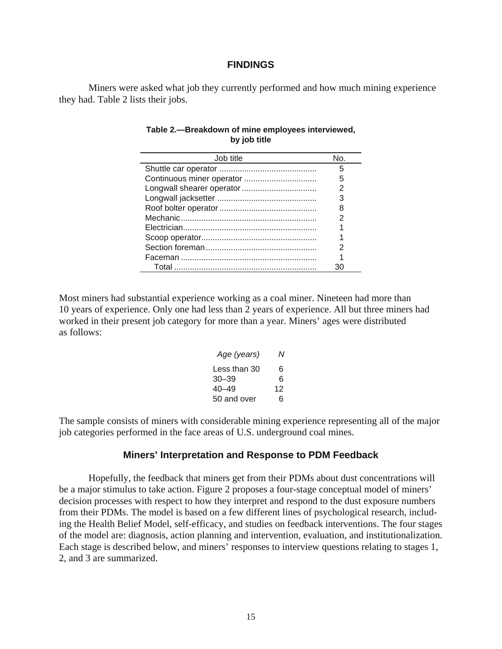#### **FINDINGS**

Miners were asked what job they currently performed and how much mining experience they had. Table 2 lists their jobs.

| Job title                 | No. |
|---------------------------|-----|
|                           | 5   |
| Continuous miner operator |     |
|                           |     |
|                           |     |
|                           | 8   |
|                           |     |
|                           |     |
|                           |     |
|                           |     |
|                           |     |
|                           |     |

#### **Table 2.—Breakdown of mine employees interviewed, by job title**

Most miners had substantial experience working as a coal miner. Nineteen had more than 10 years of experience. Only one had less than 2 years of experience. All but three miners had worked in their present job category for more than a year. Miners' ages were distributed as follows:

| Age (years)  | N  |
|--------------|----|
| Less than 30 | 6  |
| $30 - 39$    | 6  |
| $40 - 49$    | 12 |
| 50 and over  | 6  |

The sample consists of miners with considerable mining experience representing all of the major job categories performed in the face areas of U.S. underground coal mines.

#### **Miners' Interpretation and Response to PDM Feedback**

Hopefully, the feedback that miners get from their PDMs about dust concentrations will be a major stimulus to take action. Figure 2 proposes a four-stage conceptual model of miners' decision processes with respect to how they interpret and respond to the dust exposure numbers from their PDMs. The model is based on a few different lines of psychological research, including the Health Belief Model, self-efficacy, and studies on feedback interventions. The four stages of the model are: diagnosis, action planning and intervention, evaluation, and institutionalization. Each stage is described below, and miners' responses to interview questions relating to stages 1, 2, and 3 are summarized.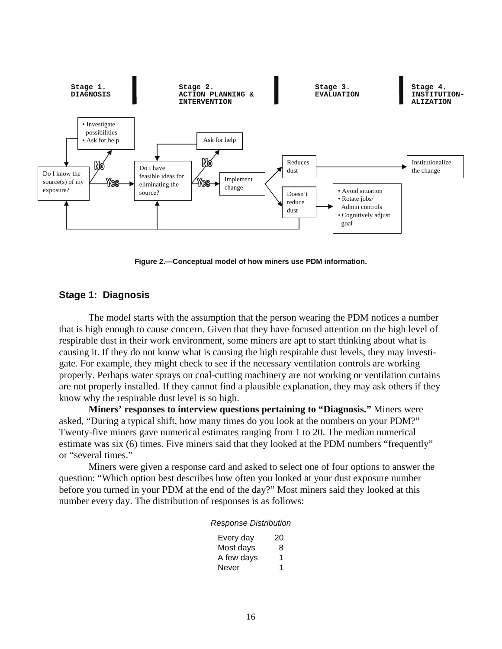

**Figure 2.—Conceptual model of how miners use PDM information.** 

#### **Stage 1: Diagnosis**

The model starts with the assumption that the person wearing the PDM notices a number that is high enough to cause concern. Given that they have focused attention on the high level of respirable dust in their work environment, some miners are apt to start thinking about what is causing it. If they do not know what is causing the high respirable dust levels, they may investigate. For example, they might check to see if the necessary ventilation controls are working properly. Perhaps water sprays on coal-cutting machinery are not working or ventilation curtains are not properly installed. If they cannot find a plausible explanation, they may ask others if they know why the respirable dust level is so high.

**Miners' responses to interview questions pertaining to "Diagnosis."** Miners were asked, "During a typical shift, how many times do you look at the numbers on your PDM?" Twenty-five miners gave numerical estimates ranging from 1 to 20. The median numerical estimate was six (6) times. Five miners said that they looked at the PDM numbers "frequently" or "several times."

Miners were given a response card and asked to select one of four options to answer the question: "Which option best describes how often you looked at your dust exposure number before you turned in your PDM at the end of the day?" Most miners said they looked at this number every day. The distribution of responses is as follows:

#### *Response Distribution*

| Every day  | 20 |
|------------|----|
| Most days  | 8  |
| A few days | 1  |
| Never      | 1  |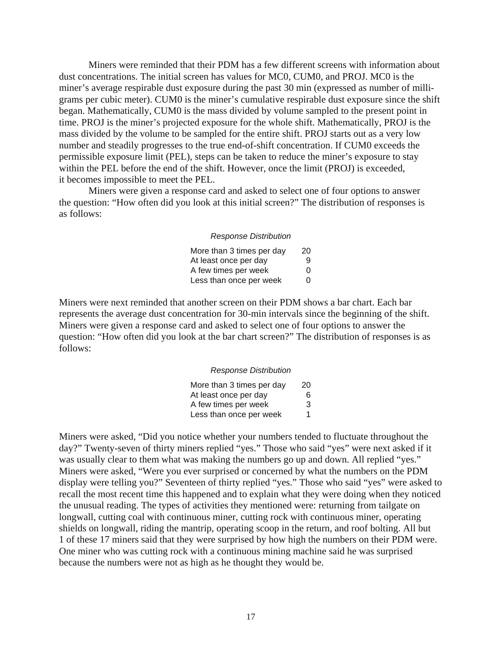Miners were reminded that their PDM has a few different screens with information about dust concentrations. The initial screen has values for MC0, CUM0, and PROJ. MC0 is the miner's average respirable dust exposure during the past 30 min (expressed as number of milligrams per cubic meter). CUM0 is the miner's cumulative respirable dust exposure since the shift began. Mathematically, CUM0 is the mass divided by volume sampled to the present point in time. PROJ is the miner's projected exposure for the whole shift. Mathematically, PROJ is the mass divided by the volume to be sampled for the entire shift. PROJ starts out as a very low number and steadily progresses to the true end-of-shift concentration. If CUM0 exceeds the permissible exposure limit (PEL), steps can be taken to reduce the miner's exposure to stay within the PEL before the end of the shift. However, once the limit (PROJ) is exceeded, it becomes impossible to meet the PEL.

Miners were given a response card and asked to select one of four options to answer the question: "How often did you look at this initial screen?" The distribution of responses is as follows:

#### *Response Distribution*

| More than 3 times per day | 20 |
|---------------------------|----|
| At least once per day     | 9  |
| A few times per week      | O  |
| Less than once per week   | 0  |

Miners were next reminded that another screen on their PDM shows a bar chart. Each bar represents the average dust concentration for 30-min intervals since the beginning of the shift. Miners were given a response card and asked to select one of four options to answer the question: "How often did you look at the bar chart screen?" The distribution of responses is as follows:

#### *Response Distribution*

| More than 3 times per day | 20 |
|---------------------------|----|
| At least once per day     | 6  |
| A few times per week      | 3  |
| Less than once per week   | 1  |

Miners were asked, "Did you notice whether your numbers tended to fluctuate throughout the day?" Twenty-seven of thirty miners replied "yes." Those who said "yes" were next asked if it was usually clear to them what was making the numbers go up and down. All replied "yes." Miners were asked, "Were you ever surprised or concerned by what the numbers on the PDM display were telling you?" Seventeen of thirty replied "yes." Those who said "yes" were asked to recall the most recent time this happened and to explain what they were doing when they noticed the unusual reading. The types of activities they mentioned were: returning from tailgate on longwall, cutting coal with continuous miner, cutting rock with continuous miner, operating shields on longwall, riding the mantrip, operating scoop in the return, and roof bolting. All but 1 of these 17 miners said that they were surprised by how high the numbers on their PDM were. One miner who was cutting rock with a continuous mining machine said he was surprised because the numbers were not as high as he thought they would be.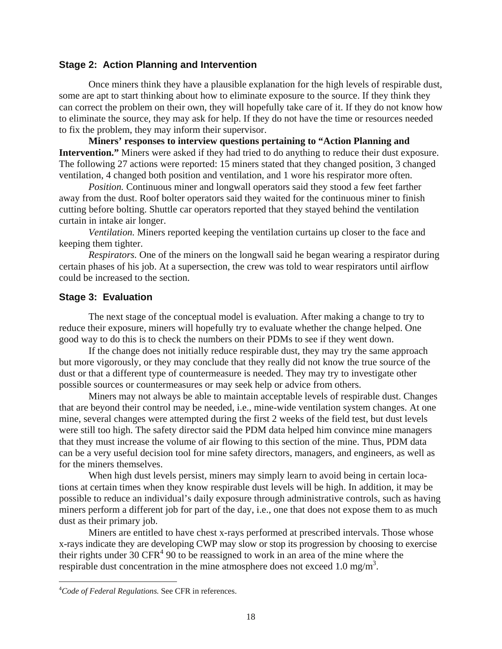#### <span id="page-22-0"></span>**Stage 2: Action Planning and Intervention**

Once miners think they have a plausible explanation for the high levels of respirable dust, some are apt to start thinking about how to eliminate exposure to the source. If they think they can correct the problem on their own, they will hopefully take care of it. If they do not know how to eliminate the source, they may ask for help. If they do not have the time or resources needed to fix the problem, they may inform their supervisor.

**Miners' responses to interview questions pertaining to "Action Planning and Intervention."** Miners were asked if they had tried to do anything to reduce their dust exposure. The following 27 actions were reported: 15 miners stated that they changed position, 3 changed ventilation, 4 changed both position and ventilation, and 1 wore his respirator more often.

*Position.* Continuous miner and longwall operators said they stood a few feet farther away from the dust. Roof bolter operators said they waited for the continuous miner to finish cutting before bolting. Shuttle car operators reported that they stayed behind the ventilation curtain in intake air longer.

*Ventilation.* Miners reported keeping the ventilation curtains up closer to the face and keeping them tighter.

*Respirators.* One of the miners on the longwall said he began wearing a respirator during certain phases of his job. At a supersection, the crew was told to wear respirators until airflow could be increased to the section.

#### **Stage 3: Evaluation**

The next stage of the conceptual model is evaluation. After making a change to try to reduce their exposure, miners will hopefully try to evaluate whether the change helped. One good way to do this is to check the numbers on their PDMs to see if they went down.

If the change does not initially reduce respirable dust, they may try the same approach but more vigorously, or they may conclude that they really did not know the true source of the dust or that a different type of countermeasure is needed. They may try to investigate other possible sources or countermeasures or may seek help or advice from others.

Miners may not always be able to maintain acceptable levels of respirable dust. Changes that are beyond their control may be needed, i.e., mine-wide ventilation system changes. At one mine, several changes were attempted during the first 2 weeks of the field test, but dust levels were still too high. The safety director said the PDM data helped him convince mine managers that they must increase the volume of air flowing to this section of the mine. Thus, PDM data can be a very useful decision tool for mine safety directors, managers, and engineers, as well as for the miners themselves.

When high dust levels persist, miners may simply learn to avoid being in certain locations at certain times when they know respirable dust levels will be high. In addition, it may be possible to reduce an individual's daily exposure through administrative controls, such as having miners perform a different job for part of the day, i.e., one that does not expose them to as much dust as their primary job.

Miners are entitled to have chest x-rays performed at prescribed intervals. Those whose x-rays indicate they are developing CWP may slow or stop its progression by choosing to exercise their rights under  $30 \text{ CFR}^4$  90 to be reassigned to work in an area of the mine where the respirable dust concentration in the mine atmosphere does not exceed 1.0 mg/m<sup>3</sup>.

 $\overline{a}$ 

<sup>4</sup> *Code of Federal Regulations.* See CFR in references.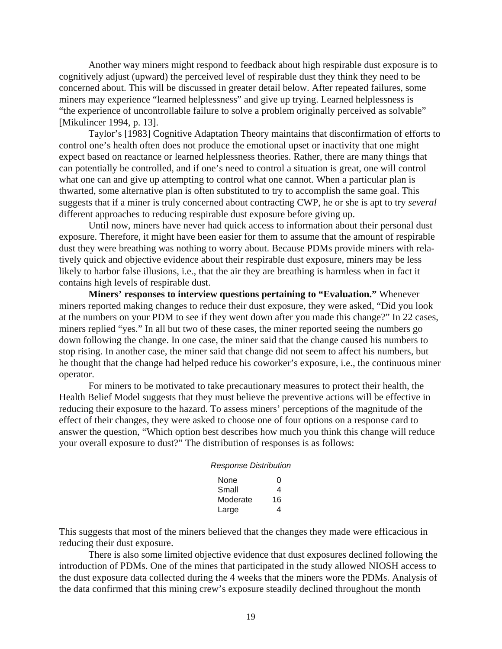Another way miners might respond to feedback about high respirable dust exposure is to cognitively adjust (upward) the perceived level of respirable dust they think they need to be concerned about. This will be discussed in greater detail below. After repeated failures, some miners may experience "learned helplessness" and give up trying. Learned helplessness is "the experience of uncontrollable failure to solve a problem originally perceived as solvable" [Mikulincer 1994, p. 13].

Taylor's [1983] Cognitive Adaptation Theory maintains that disconfirmation of efforts to control one's health often does not produce the emotional upset or inactivity that one might expect based on reactance or learned helplessness theories. Rather, there are many things that can potentially be controlled, and if one's need to control a situation is great, one will control what one can and give up attempting to control what one cannot. When a particular plan is thwarted, some alternative plan is often substituted to try to accomplish the same goal. This suggests that if a miner is truly concerned about contracting CWP, he or she is apt to try *several*  different approaches to reducing respirable dust exposure before giving up.

Until now, miners have never had quick access to information about their personal dust exposure. Therefore, it might have been easier for them to assume that the amount of respirable dust they were breathing was nothing to worry about. Because PDMs provide miners with relatively quick and objective evidence about their respirable dust exposure, miners may be less likely to harbor false illusions, i.e., that the air they are breathing is harmless when in fact it contains high levels of respirable dust.

**Miners' responses to interview questions pertaining to "Evaluation."** Whenever miners reported making changes to reduce their dust exposure, they were asked, "Did you look at the numbers on your PDM to see if they went down after you made this change?" In 22 cases, miners replied "yes." In all but two of these cases, the miner reported seeing the numbers go down following the change. In one case, the miner said that the change caused his numbers to stop rising. In another case, the miner said that change did not seem to affect his numbers, but he thought that the change had helped reduce his coworker's exposure, i.e., the continuous miner operator.

For miners to be motivated to take precautionary measures to protect their health, the Health Belief Model suggests that they must believe the preventive actions will be effective in reducing their exposure to the hazard. To assess miners' perceptions of the magnitude of the effect of their changes, they were asked to choose one of four options on a response card to answer the question, "Which option best describes how much you think this change will reduce your overall exposure to dust?" The distribution of responses is as follows:

| None     | O  |
|----------|----|
| Small    | 4  |
| Moderate | 16 |
| Large    | 4  |

This suggests that most of the miners believed that the changes they made were efficacious in reducing their dust exposure.

There is also some limited objective evidence that dust exposures declined following the introduction of PDMs. One of the mines that participated in the study allowed NIOSH access to the dust exposure data collected during the 4 weeks that the miners wore the PDMs. Analysis of the data confirmed that this mining crew's exposure steadily declined throughout the month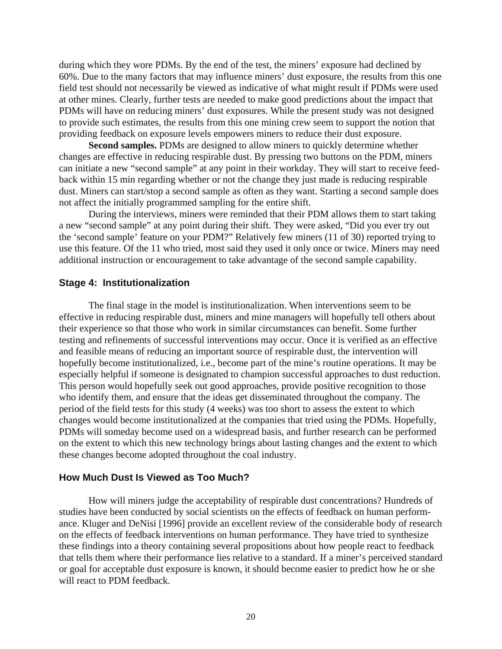<span id="page-24-0"></span>during which they wore PDMs. By the end of the test, the miners' exposure had declined by 60%. Due to the many factors that may influence miners' dust exposure, the results from this one field test should not necessarily be viewed as indicative of what might result if PDMs were used at other mines. Clearly, further tests are needed to make good predictions about the impact that PDMs will have on reducing miners' dust exposures. While the present study was not designed to provide such estimates, the results from this one mining crew seem to support the notion that providing feedback on exposure levels empowers miners to reduce their dust exposure.

**Second samples.** PDMs are designed to allow miners to quickly determine whether changes are effective in reducing respirable dust. By pressing two buttons on the PDM, miners can initiate a new "second sample" at any point in their workday. They will start to receive feedback within 15 min regarding whether or not the change they just made is reducing respirable dust. Miners can start/stop a second sample as often as they want. Starting a second sample does not affect the initially programmed sampling for the entire shift.

During the interviews, miners were reminded that their PDM allows them to start taking a new "second sample" at any point during their shift. They were asked, "Did you ever try out the 'second sample' feature on your PDM?" Relatively few miners (11 of 30) reported trying to use this feature. Of the 11 who tried, most said they used it only once or twice. Miners may need additional instruction or encouragement to take advantage of the second sample capability.

#### **Stage 4: Institutionalization**

The final stage in the model is institutionalization. When interventions seem to be effective in reducing respirable dust, miners and mine managers will hopefully tell others about their experience so that those who work in similar circumstances can benefit. Some further testing and refinements of successful interventions may occur. Once it is verified as an effective and feasible means of reducing an important source of respirable dust, the intervention will hopefully become institutionalized, i.e., become part of the mine's routine operations. It may be especially helpful if someone is designated to champion successful approaches to dust reduction. This person would hopefully seek out good approaches, provide positive recognition to those who identify them, and ensure that the ideas get disseminated throughout the company. The period of the field tests for this study (4 weeks) was too short to assess the extent to which changes would become institutionalized at the companies that tried using the PDMs. Hopefully, PDMs will someday become used on a widespread basis, and further research can be performed on the extent to which this new technology brings about lasting changes and the extent to which these changes become adopted throughout the coal industry.

#### **How Much Dust Is Viewed as Too Much?**

How will miners judge the acceptability of respirable dust concentrations? Hundreds of studies have been conducted by social scientists on the effects of feedback on human performance. Kluger and DeNisi [1996] provide an excellent review of the considerable body of research on the effects of feedback interventions on human performance. They have tried to synthesize these findings into a theory containing several propositions about how people react to feedback that tells them where their performance lies relative to a standard. If a miner's perceived standard or goal for acceptable dust exposure is known, it should become easier to predict how he or she will react to PDM feedback.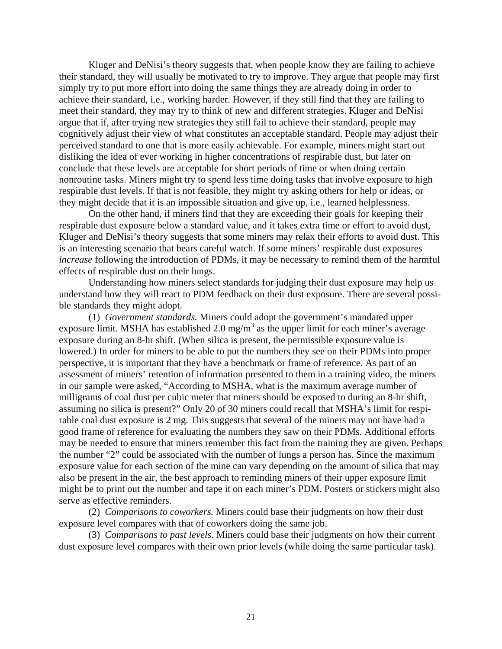Kluger and DeNisi's theory suggests that, when people know they are failing to achieve their standard, they will usually be motivated to try to improve. They argue that people may first simply try to put more effort into doing the same things they are already doing in order to achieve their standard, i.e., working harder. However, if they still find that they are failing to meet their standard, they may try to think of new and different strategies. Kluger and DeNisi argue that if, after trying new strategies they still fail to achieve their standard, people may cognitively adjust their view of what constitutes an acceptable standard. People may adjust their perceived standard to one that is more easily achievable. For example, miners might start out disliking the idea of ever working in higher concentrations of respirable dust, but later on conclude that these levels are acceptable for short periods of time or when doing certain nonroutine tasks. Miners might try to spend less time doing tasks that involve exposure to high respirable dust levels. If that is not feasible, they might try asking others for help or ideas, or they might decide that it is an impossible situation and give up, i.e., learned helplessness.

On the other hand, if miners find that they are exceeding their goals for keeping their respirable dust exposure below a standard value, and it takes extra time or effort to avoid dust, Kluger and DeNisi's theory suggests that some miners may relax their efforts to avoid dust. This is an interesting scenario that bears careful watch. If some miners' respirable dust exposures *increase* following the introduction of PDMs, it may be necessary to remind them of the harmful effects of respirable dust on their lungs.

Understanding how miners select standards for judging their dust exposure may help us understand how they will react to PDM feedback on their dust exposure. There are several possible standards they might adopt.

(1) *Government standards.* Miners could adopt the government's mandated upper exposure limit. MSHA has established 2.0 mg/m<sup>3</sup> as the upper limit for each miner's average exposure during an 8-hr shift. (When silica is present, the permissible exposure value is lowered.) In order for miners to be able to put the numbers they see on their PDMs into proper perspective, it is important that they have a benchmark or frame of reference. As part of an assessment of miners' retention of information presented to them in a training video, the miners in our sample were asked, "According to MSHA, what is the maximum average number of milligrams of coal dust per cubic meter that miners should be exposed to during an 8-hr shift, assuming no silica is present?" Only 20 of 30 miners could recall that MSHA's limit for respirable coal dust exposure is 2 mg. This suggests that several of the miners may not have had a good frame of reference for evaluating the numbers they saw on their PDMs. Additional efforts may be needed to ensure that miners remember this fact from the training they are given. Perhaps the number "2" could be associated with the number of lungs a person has. Since the maximum exposure value for each section of the mine can vary depending on the amount of silica that may also be present in the air, the best approach to reminding miners of their upper exposure limit might be to print out the number and tape it on each miner's PDM. Posters or stickers might also serve as effective reminders.

(2) *Comparisons to coworkers.* Miners could base their judgments on how their dust exposure level compares with that of coworkers doing the same job.

(3) *Comparisons to past levels.* Miners could base their judgments on how their current dust exposure level compares with their own prior levels (while doing the same particular task).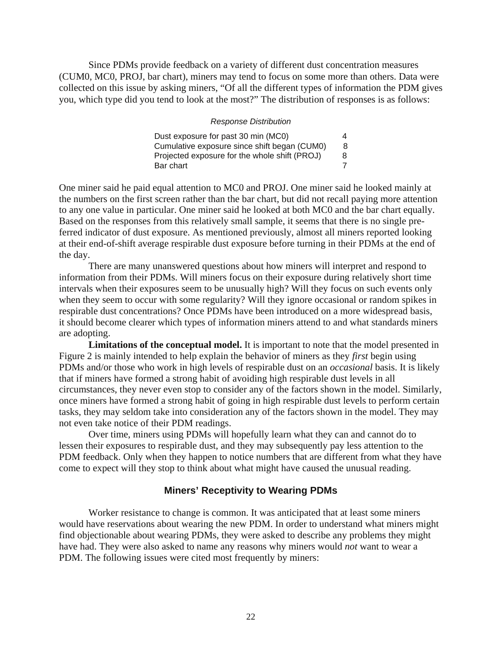<span id="page-26-0"></span>Since PDMs provide feedback on a variety of different dust concentration measures (CUM0, MC0, PROJ, bar chart), miners may tend to focus on some more than others. Data were collected on this issue by asking miners, "Of all the different types of information the PDM gives you, which type did you tend to look at the most?" The distribution of responses is as follows:

#### *Response Distribution*

| Dust exposure for past 30 min (MCO)           | 4 |
|-----------------------------------------------|---|
| Cumulative exposure since shift began (CUM0)  | 8 |
| Projected exposure for the whole shift (PROJ) | 8 |
| Bar chart                                     |   |

One miner said he paid equal attention to MC0 and PROJ. One miner said he looked mainly at the numbers on the first screen rather than the bar chart, but did not recall paying more attention to any one value in particular. One miner said he looked at both MC0 and the bar chart equally. Based on the responses from this relatively small sample, it seems that there is no single preferred indicator of dust exposure. As mentioned previously, almost all miners reported looking at their end-of-shift average respirable dust exposure before turning in their PDMs at the end of the day.

There are many unanswered questions about how miners will interpret and respond to information from their PDMs. Will miners focus on their exposure during relatively short time intervals when their exposures seem to be unusually high? Will they focus on such events only when they seem to occur with some regularity? Will they ignore occasional or random spikes in respirable dust concentrations? Once PDMs have been introduced on a more widespread basis, it should become clearer which types of information miners attend to and what standards miners are adopting.

**Limitations of the conceptual model.** It is important to note that the model presented in Figure 2 is mainly intended to help explain the behavior of miners as they *first* begin using PDMs and/or those who work in high levels of respirable dust on an *occasional* basis. It is likely that if miners have formed a strong habit of avoiding high respirable dust levels in all circumstances, they never even stop to consider any of the factors shown in the model. Similarly, once miners have formed a strong habit of going in high respirable dust levels to perform certain tasks, they may seldom take into consideration any of the factors shown in the model. They may not even take notice of their PDM readings.

Over time, miners using PDMs will hopefully learn what they can and cannot do to lessen their exposures to respirable dust, and they may subsequently pay less attention to the PDM feedback. Only when they happen to notice numbers that are different from what they have come to expect will they stop to think about what might have caused the unusual reading.

#### **Miners' Receptivity to Wearing PDMs**

Worker resistance to change is common. It was anticipated that at least some miners would have reservations about wearing the new PDM. In order to understand what miners might find objectionable about wearing PDMs, they were asked to describe any problems they might have had. They were also asked to name any reasons why miners would *not* want to wear a PDM. The following issues were cited most frequently by miners: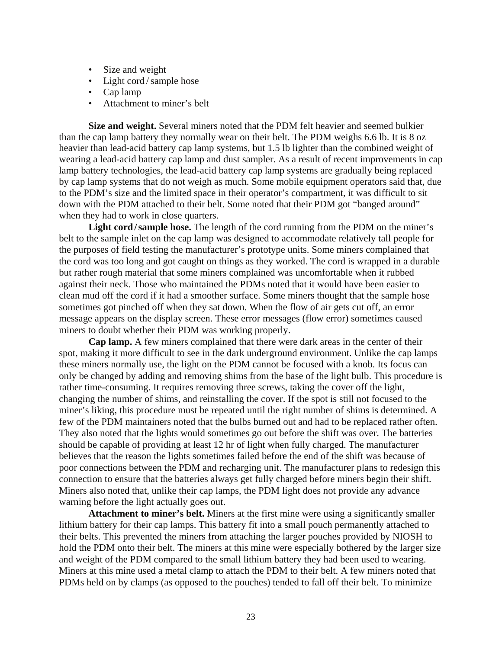- Size and weight
- Light cord / sample hose
- Cap lamp
- Attachment to miner's belt

**Size and weight.** Several miners noted that the PDM felt heavier and seemed bulkier than the cap lamp battery they normally wear on their belt. The PDM weighs 6.6 lb. It is 8 oz heavier than lead-acid battery cap lamp systems, but 1.5 lb lighter than the combined weight of wearing a lead-acid battery cap lamp and dust sampler. As a result of recent improvements in cap lamp battery technologies, the lead-acid battery cap lamp systems are gradually being replaced by cap lamp systems that do not weigh as much. Some mobile equipment operators said that, due to the PDM's size and the limited space in their operator's compartment, it was difficult to sit down with the PDM attached to their belt. Some noted that their PDM got "banged around" when they had to work in close quarters.

Light cord/sample hose. The length of the cord running from the PDM on the miner's belt to the sample inlet on the cap lamp was designed to accommodate relatively tall people for the purposes of field testing the manufacturer's prototype units. Some miners complained that the cord was too long and got caught on things as they worked. The cord is wrapped in a durable but rather rough material that some miners complained was uncomfortable when it rubbed against their neck. Those who maintained the PDMs noted that it would have been easier to clean mud off the cord if it had a smoother surface. Some miners thought that the sample hose sometimes got pinched off when they sat down. When the flow of air gets cut off, an error message appears on the display screen. These error messages (flow error) sometimes caused miners to doubt whether their PDM was working properly.

**Cap lamp.** A few miners complained that there were dark areas in the center of their spot, making it more difficult to see in the dark underground environment. Unlike the cap lamps these miners normally use, the light on the PDM cannot be focused with a knob. Its focus can only be changed by adding and removing shims from the base of the light bulb. This procedure is rather time-consuming. It requires removing three screws, taking the cover off the light, changing the number of shims, and reinstalling the cover. If the spot is still not focused to the miner's liking, this procedure must be repeated until the right number of shims is determined. A few of the PDM maintainers noted that the bulbs burned out and had to be replaced rather often. They also noted that the lights would sometimes go out before the shift was over. The batteries should be capable of providing at least 12 hr of light when fully charged. The manufacturer believes that the reason the lights sometimes failed before the end of the shift was because of poor connections between the PDM and recharging unit. The manufacturer plans to redesign this connection to ensure that the batteries always get fully charged before miners begin their shift. Miners also noted that, unlike their cap lamps, the PDM light does not provide any advance warning before the light actually goes out.

**Attachment to miner's belt.** Miners at the first mine were using a significantly smaller lithium battery for their cap lamps. This battery fit into a small pouch permanently attached to their belts. This prevented the miners from attaching the larger pouches provided by NIOSH to hold the PDM onto their belt. The miners at this mine were especially bothered by the larger size and weight of the PDM compared to the small lithium battery they had been used to wearing. Miners at this mine used a metal clamp to attach the PDM to their belt. A few miners noted that PDMs held on by clamps (as opposed to the pouches) tended to fall off their belt. To minimize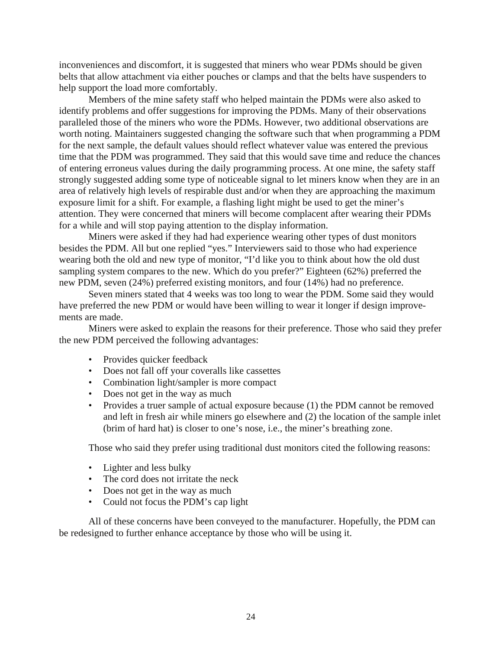inconveniences and discomfort, it is suggested that miners who wear PDMs should be given belts that allow attachment via either pouches or clamps and that the belts have suspenders to help support the load more comfortably.

Members of the mine safety staff who helped maintain the PDMs were also asked to identify problems and offer suggestions for improving the PDMs. Many of their observations paralleled those of the miners who wore the PDMs. However, two additional observations are worth noting. Maintainers suggested changing the software such that when programming a PDM for the next sample, the default values should reflect whatever value was entered the previous time that the PDM was programmed. They said that this would save time and reduce the chances of entering erroneus values during the daily programming process. At one mine, the safety staff strongly suggested adding some type of noticeable signal to let miners know when they are in an area of relatively high levels of respirable dust and/or when they are approaching the maximum exposure limit for a shift. For example, a flashing light might be used to get the miner's attention. They were concerned that miners will become complacent after wearing their PDMs for a while and will stop paying attention to the display information.

Miners were asked if they had had experience wearing other types of dust monitors besides the PDM. All but one replied "yes." Interviewers said to those who had experience wearing both the old and new type of monitor, "I'd like you to think about how the old dust sampling system compares to the new. Which do you prefer?" Eighteen (62%) preferred the new PDM, seven (24%) preferred existing monitors, and four (14%) had no preference.

Seven miners stated that 4 weeks was too long to wear the PDM. Some said they would have preferred the new PDM or would have been willing to wear it longer if design improvements are made.

Miners were asked to explain the reasons for their preference. Those who said they prefer the new PDM perceived the following advantages:

- Provides quicker feedback
- Does not fall off your coveralls like cassettes
- Combination light/sampler is more compact
- Does not get in the way as much
- Provides a truer sample of actual exposure because (1) the PDM cannot be removed and left in fresh air while miners go elsewhere and (2) the location of the sample inlet (brim of hard hat) is closer to one's nose, i.e., the miner's breathing zone.

Those who said they prefer using traditional dust monitors cited the following reasons:

- Lighter and less bulky
- The cord does not irritate the neck
- Does not get in the way as much
- Could not focus the PDM's cap light

All of these concerns have been conveyed to the manufacturer. Hopefully, the PDM can be redesigned to further enhance acceptance by those who will be using it.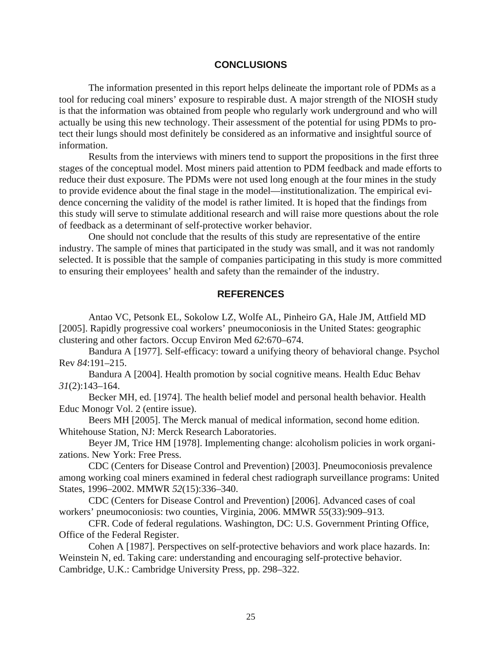#### **CONCLUSIONS**

<span id="page-29-0"></span>The information presented in this report helps delineate the important role of PDMs as a tool for reducing coal miners' exposure to respirable dust. A major strength of the NIOSH study is that the information was obtained from people who regularly work underground and who will actually be using this new technology. Their assessment of the potential for using PDMs to protect their lungs should most definitely be considered as an informative and insightful source of information.

Results from the interviews with miners tend to support the propositions in the first three stages of the conceptual model. Most miners paid attention to PDM feedback and made efforts to reduce their dust exposure. The PDMs were not used long enough at the four mines in the study to provide evidence about the final stage in the model—institutionalization. The empirical evidence concerning the validity of the model is rather limited. It is hoped that the findings from this study will serve to stimulate additional research and will raise more questions about the role of feedback as a determinant of self-protective worker behavior.

One should not conclude that the results of this study are representative of the entire industry. The sample of mines that participated in the study was small, and it was not randomly selected. It is possible that the sample of companies participating in this study is more committed to ensuring their employees' health and safety than the remainder of the industry.

#### **REFERENCES**

Antao VC, Petsonk EL, Sokolow LZ, Wolfe AL, Pinheiro GA, Hale JM, Attfield MD [2005]. Rapidly progressive coal workers' pneumoconiosis in the United States: geographic clustering and other factors. Occup Environ Med *62*:670–674.

Bandura A [1977]. Self-efficacy: toward a unifying theory of behavioral change. Psychol Rev *84*:191–215.

Bandura A [2004]. Health promotion by social cognitive means. Health Educ Behav *31*(2):143–164.

Becker MH, ed. [1974]. The health belief model and personal health behavior. Health Educ Monogr Vol. 2 (entire issue).

Beers MH [2005]. The Merck manual of medical information, second home edition. Whitehouse Station, NJ: Merck Research Laboratories.

Beyer JM, Trice HM [1978]. Implementing change: alcoholism policies in work organizations. New York: Free Press.

CDC (Centers for Disease Control and Prevention) [2003]. Pneumoconiosis prevalence among working coal miners examined in federal chest radiograph surveillance programs: United States, 1996–2002. MMWR *52*(15):336–340.

CDC (Centers for Disease Control and Prevention) [2006]. Advanced cases of coal workers' pneumoconiosis: two counties, Virginia, 2006. MMWR *55*(33):909–913.

CFR. Code of federal regulations. Washington, DC: U.S. Government Printing Office, Office of the Federal Register.

Cohen A [1987]. Perspectives on self-protective behaviors and work place hazards. In: Weinstein N, ed. Taking care: understanding and encouraging self-protective behavior. Cambridge, U.K.: Cambridge University Press, pp. 298–322.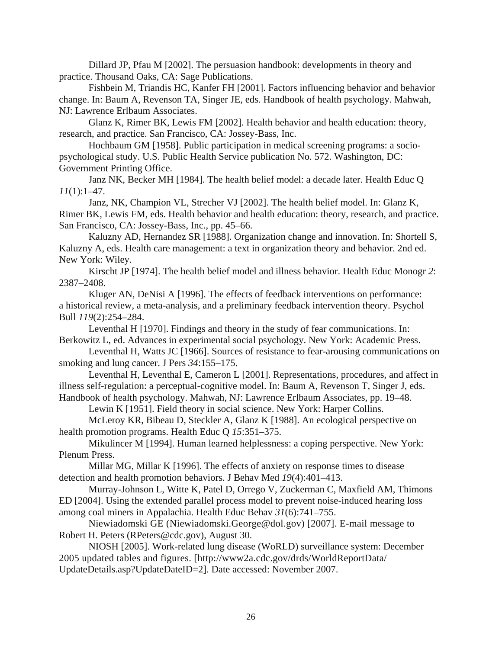Dillard JP, Pfau M [2002]. The persuasion handbook: developments in theory and practice. Thousand Oaks, CA: Sage Publications.

Fishbein M, Triandis HC, Kanfer FH [2001]. Factors influencing behavior and behavior change. In: Baum A, Revenson TA, Singer JE, eds. Handbook of health psychology. Mahwah, NJ: Lawrence Erlbaum Associates.

Glanz K, Rimer BK, Lewis FM [2002]. Health behavior and health education: theory, research, and practice. San Francisco, CA: Jossey-Bass, Inc.

Hochbaum GM [1958]. Public participation in medical screening programs: a sociopsychological study. U.S. Public Health Service publication No. 572. Washington, DC: Government Printing Office.

Janz NK, Becker MH [1984]. The health belief model: a decade later. Health Educ Q *11*(1):1–47.

Janz, NK, Champion VL, Strecher VJ [2002]. The health belief model. In: Glanz K, Rimer BK, Lewis FM, eds. Health behavior and health education: theory, research, and practice. San Francisco, CA: Jossey-Bass, Inc., pp. 45–66.

Kaluzny AD, Hernandez SR [1988]. Organization change and innovation. In: Shortell S, Kaluzny A, eds. Health care management: a text in organization theory and behavior. 2nd ed. New York: Wiley.

Kirscht JP [1974]. The health belief model and illness behavior. Health Educ Monogr *2*: 2387–2408.

Kluger AN, DeNisi A [1996]. The effects of feedback interventions on performance: a historical review, a meta-analysis, and a preliminary feedback intervention theory. Psychol Bull *119*(2):254–284.

Leventhal H [1970]. Findings and theory in the study of fear communications. In: Berkowitz L, ed. Advances in experimental social psychology. New York: Academic Press.

Leventhal H, Watts JC [1966]. Sources of resistance to fear-arousing communications on smoking and lung cancer. J Pers *34*:155–175.

Leventhal H, Leventhal E, Cameron L [2001]. Representations, procedures, and affect in illness self-regulation: a perceptual-cognitive model. In: Baum A, Revenson T, Singer J, eds. Handbook of health psychology. Mahwah, NJ: Lawrence Erlbaum Associates, pp. 19–48.

Lewin K [1951]. Field theory in social science. New York: Harper Collins.

McLeroy KR, Bibeau D, Steckler A, Glanz K [1988]. An ecological perspective on health promotion programs. Health Educ Q *15*:351–375.

Mikulincer M [1994]. Human learned helplessness: a coping perspective. New York: Plenum Press.

Millar MG, Millar K [1996]. The effects of anxiety on response times to disease detection and health promotion behaviors. J Behav Med *19*(4):401–413.

Murray-Johnson L, Witte K, Patel D, Orrego V, Zuckerman C, Maxfield AM, Thimons ED [2004]. Using the extended parallel process model to prevent noise-induced hearing loss among coal miners in Appalachia. Health Educ Behav *31*(6):741–755.

Niewiadomski GE (Niewiadomski.George@dol.gov) [2007]. E-mail message to Robert H. Peters (RPeters@cdc.gov), August 30.

NIOSH [2005]. Work-related lung disease (WoRLD) surveillance system: December 2005 updated tables and figures. [http://www2a.cdc.gov/drds/WorldReportData/ UpdateDetails.asp?UpdateDateID=2]. Date accessed: November 2007.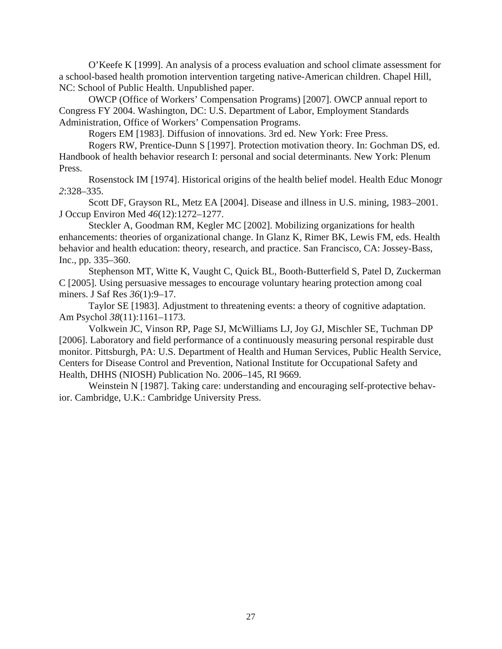O'Keefe K [1999]. An analysis of a process evaluation and school climate assessment for a school-based health promotion intervention targeting native-American children. Chapel Hill, NC: School of Public Health. Unpublished paper.

OWCP (Office of Workers' Compensation Programs) [2007]. OWCP annual report to Congress FY 2004. Washington, DC: U.S. Department of Labor, Employment Standards Administration, Office of Workers' Compensation Programs.

Rogers EM [1983]. Diffusion of innovations. 3rd ed. New York: Free Press.

Rogers RW, Prentice-Dunn S [1997]. Protection motivation theory. In: Gochman DS, ed. Handbook of health behavior research I: personal and social determinants. New York: Plenum Press.

Rosenstock IM [1974]. Historical origins of the health belief model. Health Educ Monogr *2*:328–335.

Scott DF, Grayson RL, Metz EA [2004]. Disease and illness in U.S. mining, 1983–2001. J Occup Environ Med *46*(12):1272–1277.

Steckler A, Goodman RM, Kegler MC [2002]. Mobilizing organizations for health enhancements: theories of organizational change. In Glanz K, Rimer BK, Lewis FM, eds. Health behavior and health education: theory, research, and practice. San Francisco, CA: Jossey-Bass, Inc., pp. 335–360.

Stephenson MT, Witte K, Vaught C, Quick BL, Booth-Butterfield S, Patel D, Zuckerman C [2005]. Using persuasive messages to encourage voluntary hearing protection among coal miners. J Saf Res *36*(1):9–17.

Taylor SE [1983]. Adjustment to threatening events: a theory of cognitive adaptation. Am Psychol *38*(11):1161–1173.

Volkwein JC, Vinson RP, Page SJ, McWilliams LJ, Joy GJ, Mischler SE, Tuchman DP [2006]. Laboratory and field performance of a continuously measuring personal respirable dust monitor. Pittsburgh, PA: U.S. Department of Health and Human Services, Public Health Service, Centers for Disease Control and Prevention, National Institute for Occupational Safety and Health, DHHS (NIOSH) Publication No. 2006–145, RI 9669.

Weinstein N [1987]. Taking care: understanding and encouraging self-protective behavior. Cambridge, U.K.: Cambridge University Press.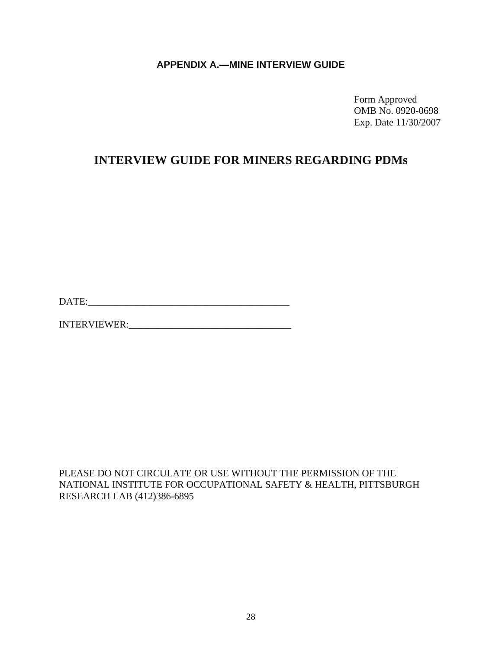# **APPENDIX A.—MINE INTERVIEW GUIDE**

<span id="page-32-0"></span> Form Approved OMB No. 0920-0698 Exp. Date 11/30/2007

# **INTERVIEW GUIDE FOR MINERS REGARDING PDMs**

DATE:\_\_\_\_\_\_\_\_\_\_\_\_\_\_\_\_\_\_\_\_\_\_\_\_\_\_\_\_\_\_\_\_\_\_\_\_\_\_\_\_\_

INTERVIEWER:\_\_\_\_\_\_\_\_\_\_\_\_\_\_\_\_\_\_\_\_\_\_\_\_\_\_\_\_\_\_\_\_\_

PLEASE DO NOT CIRCULATE OR USE WITHOUT THE PERMISSION OF THE NATIONAL INSTITUTE FOR OCCUPATIONAL SAFETY & HEALTH, PITTSBURGH RESEARCH LAB (412)386-6895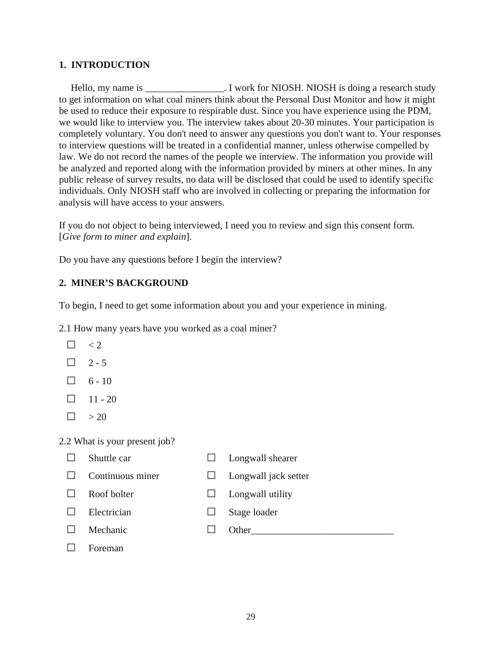## **1. INTRODUCTION**

Hello, my name is \_\_\_\_\_\_\_\_\_\_\_\_\_\_\_\_\_. I work for NIOSH. NIOSH is doing a research study to get information on what coal miners think about the Personal Dust Monitor and how it might be used to reduce their exposure to respirable dust. Since you have experience using the PDM, we would like to interview you. The interview takes about 20-30 minutes. Your participation is completely voluntary. You don't need to answer any questions you don't want to. Your responses to interview questions will be treated in a confidential manner, unless otherwise compelled by law. We do not record the names of the people we interview. The information you provide will be analyzed and reported along with the information provided by miners at other mines. In any public release of survey results, no data will be disclosed that could be used to identify specific individuals. Only NIOSH staff who are involved in collecting or preparing the information for analysis will have access to your answers.

If you do not object to being interviewed, I need you to review and sign this consent form. [*Give form to miner and explain*].

Do you have any questions before I begin the interview?

#### **2. MINER'S BACKGROUND**

To begin, I need to get some information about you and your experience in mining.

2.1 How many years have you worked as a coal miner?

- $\Box$  < 2
- $\Box$  2 5
- $\Box$  6 10
- $\Box$  11 20
- $\Box$  > 20

#### 2.2 What is your present job?

- 
- □ Shuttle car □ Longwall shearer
- □ Continuous miner □ Longwall jack setter
- 
- 
- □ Roof bolter □ Longwall utility
- □ Electrician □ Stage loader
- 

- 
- $\Box$  Mechanic  $\Box$  Other  $\Box$

□ Foreman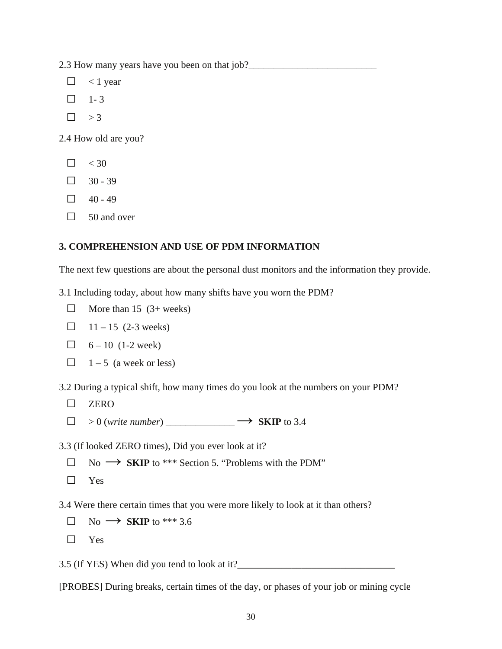2.3 How many years have you been on that job?\_\_\_\_\_\_\_\_\_\_\_\_\_\_\_\_\_\_\_\_\_\_\_\_\_\_\_\_\_\_\_\_\_\_\_

- $\Box$  < 1 year
- $\Box$  1-3
- $\Box$  > 3

2.4 How old are you?

- $\Box \quad 30$
- $\Box$  30 39
- $\Box$  40 49
- $\Box$  50 and over

#### **3. COMPREHENSION AND USE OF PDM INFORMATION**

The next few questions are about the personal dust monitors and the information they provide.

3.1 Including today, about how many shifts have you worn the PDM?

- $\Box$  More than 15 (3+ weeks)
- $\Box$  11 15 (2-3 weeks)
- $\Box$  6 10 (1-2 week)
- $\Box$  1 5 (a week or less)

3.2 During a typical shift, how many times do you look at the numbers on your PDM?

- □ ZERO
- $\Box$  > 0 (write number) \_\_\_\_\_\_\_\_\_\_\_\_\_\_  $\rightarrow$  **SKIP** to 3.4

3.3 (If looked ZERO times), Did you ever look at it?

- □ No **→ SKIP** to \*\*\* Section 5. "Problems with the PDM"
- □ Yes

3.4 Were there certain times that you were more likely to look at it than others?

- $\Box$  No  $\rightarrow$  **SKIP** to \*\*\* 3.6
- □ Yes

3.5 (If YES) When did you tend to look at it?\_\_\_\_\_\_\_\_\_\_\_\_\_\_\_\_\_\_\_\_\_\_\_\_\_\_\_\_\_\_\_\_

[PROBES] During breaks, certain times of the day, or phases of your job or mining cycle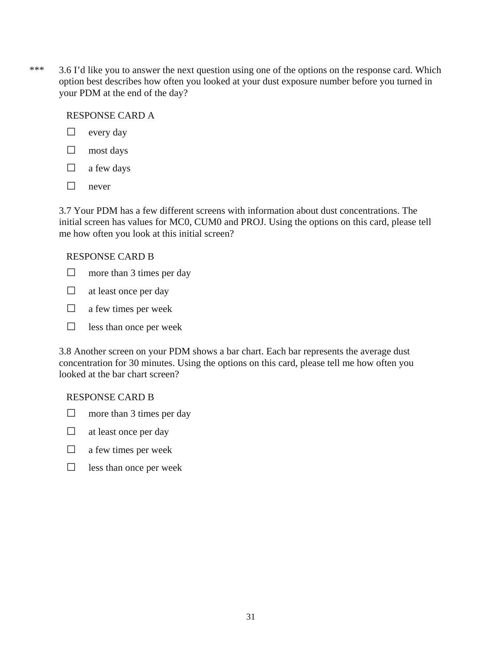\*\*\* 3.6 I'd like you to answer the next question using one of the options on the response card. Which option best describes how often you looked at your dust exposure number before you turned in your PDM at the end of the day?

## RESPONSE CARD A

- □ every day
- □ most days
- $\Box$  a few days
- □ never

3.7 Your PDM has a few different screens with information about dust concentrations. The initial screen has values for MC0, CUM0 and PROJ. Using the options on this card, please tell me how often you look at this initial screen?

# RESPONSE CARD B

- $\Box$  more than 3 times per day
- $\Box$  at least once per day
- $\Box$  a few times per week
- $\Box$  less than once per week

3.8 Another screen on your PDM shows a bar chart. Each bar represents the average dust concentration for 30 minutes. Using the options on this card, please tell me how often you looked at the bar chart screen?

# RESPONSE CARD B

- $\Box$  more than 3 times per day
- $\Box$  at least once per day
- $\Box$  a few times per week
- $\Box$  less than once per week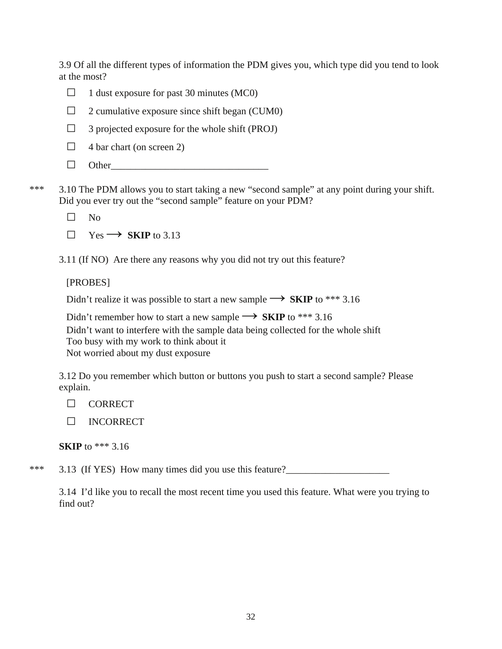3.9 Of all the different types of information the PDM gives you, which type did you tend to look at the most?

- $\Box$  1 dust exposure for past 30 minutes (MC0)
- $\Box$  2 cumulative exposure since shift began (CUM0)
- $\Box$  3 projected exposure for the whole shift (PROJ)
- $\Box$  4 bar chart (on screen 2)
- $\Box$  Other

\*\*\* 3.10 The PDM allows you to start taking a new "second sample" at any point during your shift. Did you ever try out the "second sample" feature on your PDM?

□ No

 $\Box$  Yes  $\rightarrow$  **SKIP** to 3.13

3.11 (If NO) Are there any reasons why you did not try out this feature?

# [PROBES]

Didn't realize it was possible to start a new sample  $\rightarrow$  **SKIP** to \*\*\* 3.16

Didn't remember how to start a new sample  $\rightarrow$  **SKIP** to \*\*\* 3.16 Didn't want to interfere with the sample data being collected for the whole shift Too busy with my work to think about it Not worried about my dust exposure

3.12 Do you remember which button or buttons you push to start a second sample? Please explain.

- □ CORRECT
- □ INCORRECT

**SKIP** to \*\*\* 3.16

\*\*\* 3.13 (If YES) How many times did you use this feature?

3.14 I'd like you to recall the most recent time you used this feature. What were you trying to find out?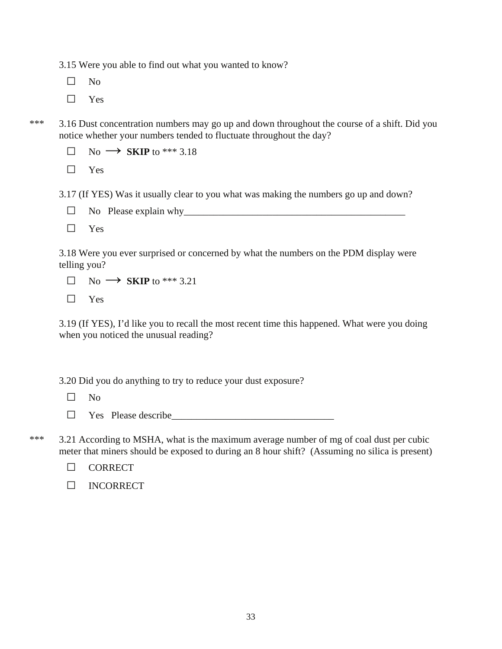3.15 Were you able to find out what you wanted to know?

□ No

□ Yes

\*\*\* 3.16 Dust concentration numbers may go up and down throughout the course of a shift. Did you notice whether your numbers tended to fluctuate throughout the day?

 $\Box$  No  $\rightarrow$  **SKIP** to \*\*\* 3.18

□ Yes

3.17 (If YES) Was it usually clear to you what was making the numbers go up and down?

 $\Box$  No Please explain why

□ Yes

3.18 Were you ever surprised or concerned by what the numbers on the PDM display were telling you?

 $\Box$  No  $\rightarrow$  **SKIP** to \*\*\* 3.21

□ Yes

3.19 (If YES), I'd like you to recall the most recent time this happened. What were you doing when you noticed the unusual reading?

3.20 Did you do anything to try to reduce your dust exposure?

□ No

 $\Box$  Yes Please describe

\*\*\* 3.21 According to MSHA, what is the maximum average number of mg of coal dust per cubic meter that miners should be exposed to during an 8 hour shift? (Assuming no silica is present)

□ CORRECT

□ INCORRECT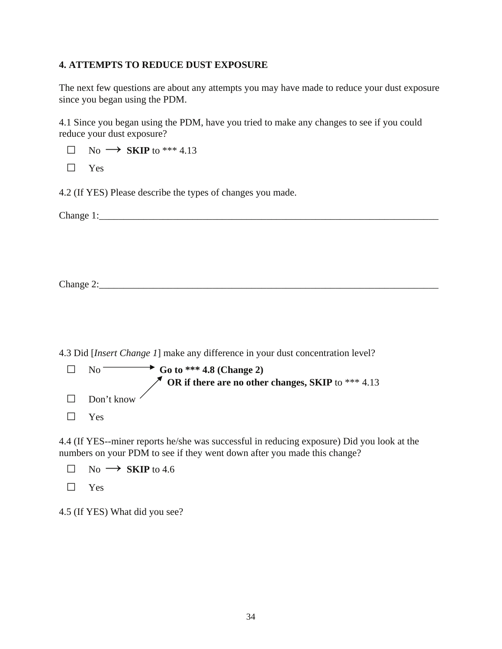# **4. ATTEMPTS TO REDUCE DUST EXPOSURE**

The next few questions are about any attempts you may have made to reduce your dust exposure since you began using the PDM.

4.1 Since you began using the PDM, have you tried to make any changes to see if you could reduce your dust exposure?

 $\Box$  No  $\rightarrow$  **SKIP** to \*\*\* 4.13

 $\Box$  Yes

4.2 (If YES) Please describe the types of changes you made.

Change 1:\_\_\_\_\_\_\_\_\_\_\_\_\_\_\_\_\_\_\_\_\_\_\_\_\_\_\_\_\_\_\_\_\_\_\_\_\_\_\_\_\_\_\_\_\_\_\_\_\_\_\_\_\_\_\_\_\_\_\_\_\_\_\_\_\_\_\_\_\_

4.3 Did [*Insert Change 1*] make any difference in your dust concentration level?

|        | • Go to *** 4.8 (Change 2)<br>$N_O$ $-$                         |
|--------|-----------------------------------------------------------------|
|        | $\mathscr N$ OR if there are no other changes, SKIP to *** 4.13 |
| $\Box$ | Don't know                                                      |
| $\Box$ | <b>Yes</b>                                                      |

4.4 (If YES--miner reports he/she was successful in reducing exposure) Did you look at the numbers on your PDM to see if they went down after you made this change?

 $\Box$  No  $\rightarrow$  **SKIP** to 4.6

□ Yes

4.5 (If YES) What did you see?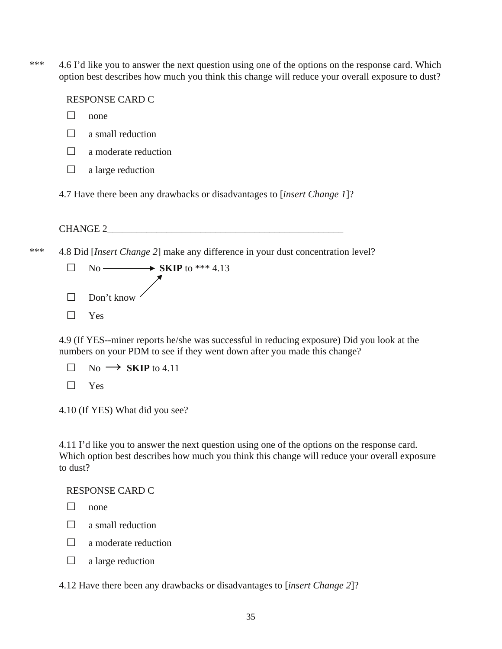\*\*\* 4.6 I'd like you to answer the next question using one of the options on the response card. Which option best describes how much you think this change will reduce your overall exposure to dust?

RESPONSE CARD C

- □ none
- $\Box$  a small reduction
- □ a moderate reduction
- $\Box$  a large reduction
- 4.7 Have there been any drawbacks or disadvantages to [*insert Change 1*]?

CHANGE 2

- \*\*\* 4.8 Did [*Insert Change 2*] make any difference in your dust concentration level?
	- $\Box$  No  $\longrightarrow$  **SKIP** to \*\*\* 4.13  □ Don't know □ Yes

4.9 (If YES--miner reports he/she was successful in reducing exposure) Did you look at the numbers on your PDM to see if they went down after you made this change?

- $\Box$  No  $\rightarrow$  **SKIP** to 4.11
- □ Yes
- 4.10 (If YES) What did you see?

4.11 I'd like you to answer the next question using one of the options on the response card. Which option best describes how much you think this change will reduce your overall exposure to dust?

#### RESPONSE CARD C

- □ none
- $\Box$  a small reduction
- $\Box$  a moderate reduction
- $\Box$  a large reduction

4.12 Have there been any drawbacks or disadvantages to [*insert Change 2*]?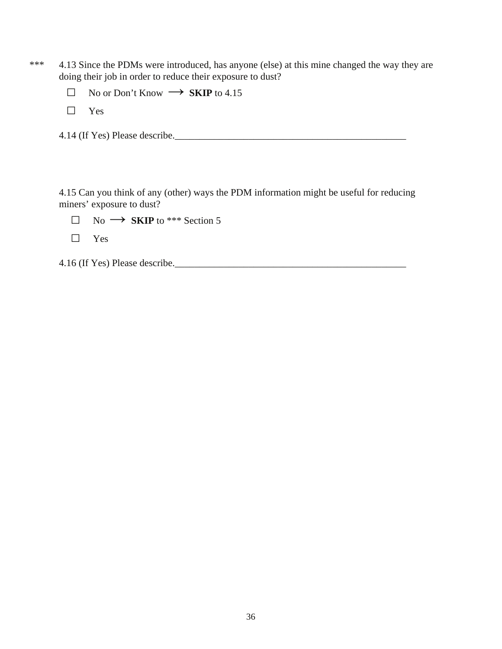- \*\*\* 4.13 Since the PDMs were introduced, has anyone (else) at this mine changed the way they are doing their job in order to reduce their exposure to dust?
	- □ No or Don't Know **→ SKIP** to 4.15
	- □ Yes
	- 4.14 (If Yes) Please describe.\_\_\_\_\_\_\_\_\_\_\_\_\_\_\_\_\_\_\_\_\_\_\_\_\_\_\_\_\_\_\_\_\_\_\_\_\_\_\_\_\_\_\_\_\_\_\_

4.15 Can you think of any (other) ways the PDM information might be useful for reducing miners' exposure to dust?

- $\Box$  No  $\rightarrow$  **SKIP** to \*\*\* Section 5
- □ Yes

4.16 (If Yes) Please describe.\_\_\_\_\_\_\_\_\_\_\_\_\_\_\_\_\_\_\_\_\_\_\_\_\_\_\_\_\_\_\_\_\_\_\_\_\_\_\_\_\_\_\_\_\_\_\_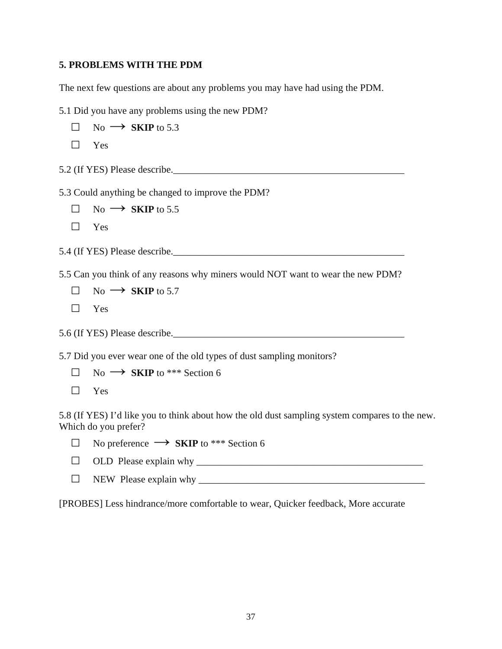#### **5. PROBLEMS WITH THE PDM**

The next few questions are about any problems you may have had using the PDM.

5.1 Did you have any problems using the new PDM?

- $\Box$  No  $\rightarrow$  **SKIP** to 5.3
- □ Yes
- 5.2 (If YES) Please describe.\_\_\_\_\_\_\_\_\_\_\_\_\_\_\_\_\_\_\_\_\_\_\_\_\_\_\_\_\_\_\_\_\_\_\_\_\_\_\_\_\_\_\_\_\_\_\_

5.3 Could anything be changed to improve the PDM?

- $\Box$  No  $\rightarrow$  **SKIP** to 5.5
- □ Yes

5.4 (If YES) Please describe.\_\_\_\_\_\_\_\_\_\_\_\_\_\_\_\_\_\_\_\_\_\_\_\_\_\_\_\_\_\_\_\_\_\_\_\_\_\_\_\_\_\_\_\_\_\_\_

5.5 Can you think of any reasons why miners would NOT want to wear the new PDM?

- $\Box$  No  $\rightarrow$  **SKIP** to 5.7
- □ Yes

5.6 (If YES) Please describe.\_\_\_\_\_\_\_\_\_\_\_\_\_\_\_\_\_\_\_\_\_\_\_\_\_\_\_\_\_\_\_\_\_\_\_\_\_\_\_\_\_\_\_\_\_\_\_

5.7 Did you ever wear one of the old types of dust sampling monitors?

 $\Box$  No  $\rightarrow$  **SKIP** to \*\*\* Section 6

□ Yes

5.8 (If YES) I'd like you to think about how the old dust sampling system compares to the new. Which do you prefer?

□ No preference **→ SKIP** to \*\*\* Section 6

- □ OLD Please explain why \_\_\_\_\_\_\_\_\_\_\_\_\_\_\_\_\_\_\_\_\_\_\_\_\_\_\_\_\_\_\_\_\_\_\_\_\_\_\_\_\_\_\_\_\_\_
- □ NEW Please explain why \_\_\_\_\_\_\_\_\_\_\_\_\_\_\_\_\_\_\_\_\_\_\_\_\_\_\_\_\_\_\_\_\_\_\_\_\_\_\_\_\_\_\_\_\_\_

[PROBES] Less hindrance/more comfortable to wear, Quicker feedback, More accurate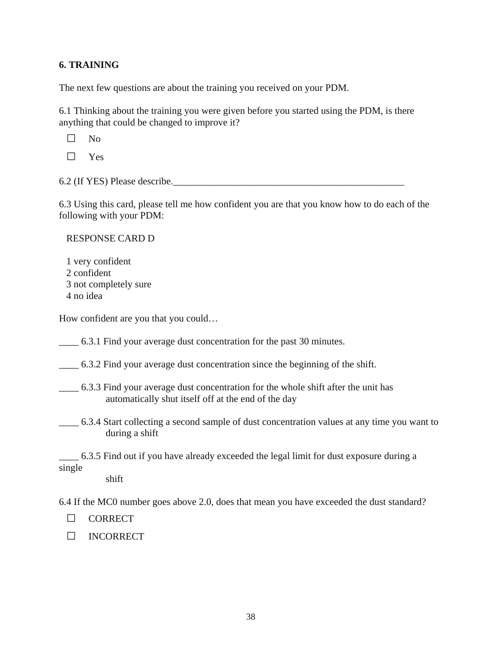# **6. TRAINING**

The next few questions are about the training you received on your PDM.

6.1 Thinking about the training you were given before you started using the PDM, is there anything that could be changed to improve it?

 $\Box$  No

□ Yes

6.2 (If YES) Please describe.\_\_\_\_\_\_\_\_\_\_\_\_\_\_\_\_\_\_\_\_\_\_\_\_\_\_\_\_\_\_\_\_\_\_\_\_\_\_\_\_\_\_\_\_\_\_\_

6.3 Using this card, please tell me how confident you are that you know how to do each of the following with your PDM:

## RESPONSE CARD D

1 very confident 2 confident 3 not completely sure 4 no idea

How confident are you that you could…

\_\_\_\_ 6.3.1 Find your average dust concentration for the past 30 minutes.

\_\_\_\_ 6.3.2 Find your average dust concentration since the beginning of the shift.

- \_\_\_\_ 6.3.3 Find your average dust concentration for the whole shift after the unit has automatically shut itself off at the end of the day
- \_\_\_\_ 6.3.4 Start collecting a second sample of dust concentration values at any time you want to during a shift

\_\_\_\_ 6.3.5 Find out if you have already exceeded the legal limit for dust exposure during a single

shift

6.4 If the MC0 number goes above 2.0, does that mean you have exceeded the dust standard?

□ CORRECT

□ INCORRECT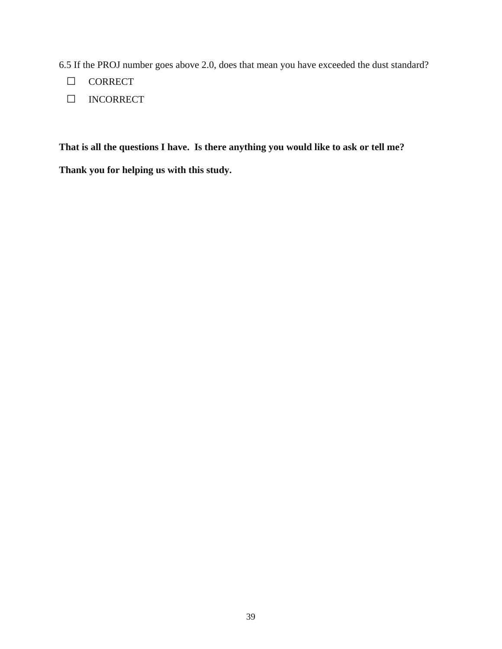6.5 If the PROJ number goes above 2.0, does that mean you have exceeded the dust standard?

- □ CORRECT
- □ INCORRECT

**That is all the questions I have. Is there anything you would like to ask or tell me?** 

**Thank you for helping us with this study.**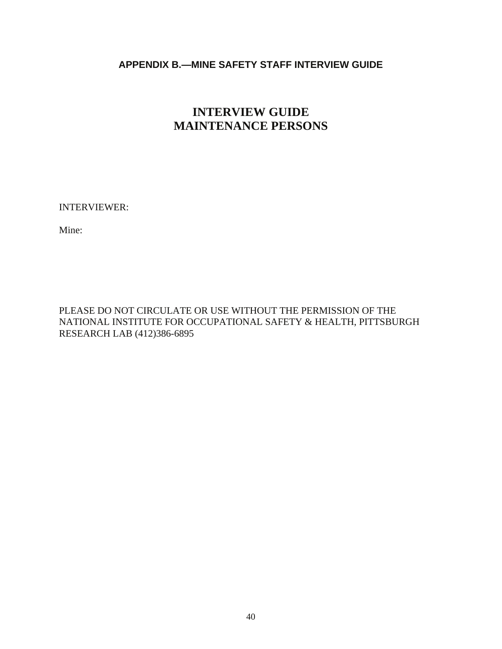# <span id="page-44-0"></span>**APPENDIX B.—MINE SAFETY STAFF INTERVIEW GUIDE**

# **INTERVIEW GUIDE MAINTENANCE PERSONS**

INTERVIEWER:

Mine:

PLEASE DO NOT CIRCULATE OR USE WITHOUT THE PERMISSION OF THE NATIONAL INSTITUTE FOR OCCUPATIONAL SAFETY & HEALTH, PITTSBURGH RESEARCH LAB (412)386-6895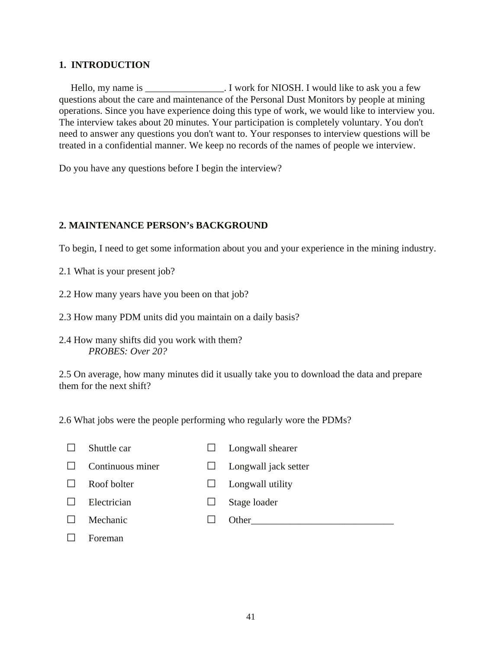## **1. INTRODUCTION**

Hello, my name is Twork for NIOSH. I would like to ask you a few questions about the care and maintenance of the Personal Dust Monitors by people at mining operations. Since you have experience doing this type of work, we would like to interview you. The interview takes about 20 minutes. Your participation is completely voluntary. You don't need to answer any questions you don't want to. Your responses to interview questions will be treated in a confidential manner. We keep no records of the names of people we interview.

Do you have any questions before I begin the interview?

## **2. MAINTENANCE PERSON's BACKGROUND**

To begin, I need to get some information about you and your experience in the mining industry.

- 2.1 What is your present job?
- 2.2 How many years have you been on that job?
- 2.3 How many PDM units did you maintain on a daily basis?
- 2.4 How many shifts did you work with them? *PROBES: Over 20?*

2.5 On average, how many minutes did it usually take you to download the data and prepare them for the next shift?

2.6 What jobs were the people performing who regularly wore the PDMs?

- □ Shuttle car □ Longwall shearer
- □ Continuous miner □ Longwall jack setter
- □ Roof bolter □ Longwall utility
	-
- □ Electrician □ Stage loader
- □ Mechanic □ Other\_\_\_\_\_\_\_\_\_\_\_\_\_\_\_\_\_\_\_\_\_\_\_\_\_\_\_\_\_
- □ Foreman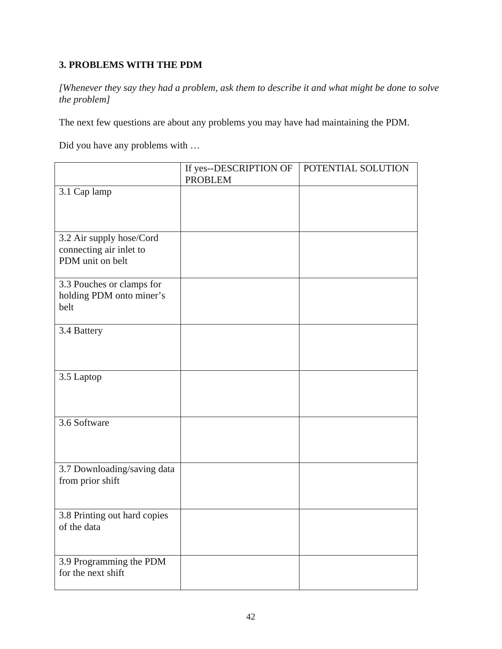# **3. PROBLEMS WITH THE PDM**

*[Whenever they say they had a problem, ask them to describe it and what might be done to solve the problem]* 

The next few questions are about any problems you may have had maintaining the PDM.

Did you have any problems with …

|                                                       | If yes--DESCRIPTION OF<br><b>PROBLEM</b> | POTENTIAL SOLUTION |
|-------------------------------------------------------|------------------------------------------|--------------------|
| 3.1 Cap lamp                                          |                                          |                    |
|                                                       |                                          |                    |
|                                                       |                                          |                    |
| 3.2 Air supply hose/Cord<br>connecting air inlet to   |                                          |                    |
| PDM unit on belt                                      |                                          |                    |
|                                                       |                                          |                    |
| 3.3 Pouches or clamps for<br>holding PDM onto miner's |                                          |                    |
| belt                                                  |                                          |                    |
| 3.4 Battery                                           |                                          |                    |
|                                                       |                                          |                    |
|                                                       |                                          |                    |
| 3.5 Laptop                                            |                                          |                    |
|                                                       |                                          |                    |
|                                                       |                                          |                    |
| 3.6 Software                                          |                                          |                    |
|                                                       |                                          |                    |
| 3.7 Downloading/saving data                           |                                          |                    |
| from prior shift                                      |                                          |                    |
|                                                       |                                          |                    |
| 3.8 Printing out hard copies                          |                                          |                    |
| of the data                                           |                                          |                    |
|                                                       |                                          |                    |
| 3.9 Programming the PDM<br>for the next shift         |                                          |                    |
|                                                       |                                          |                    |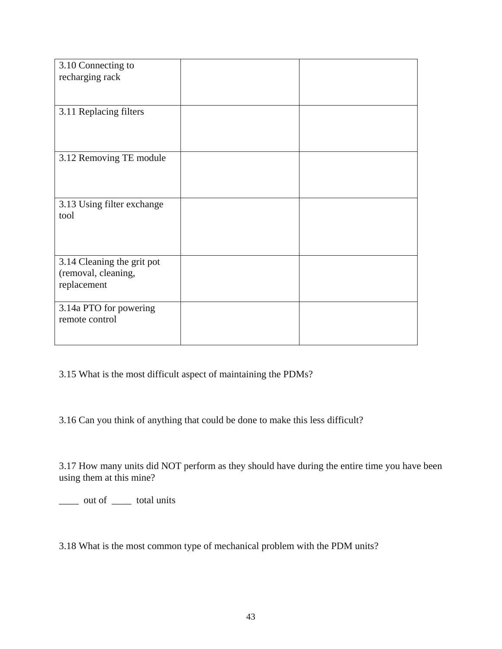| 3.10 Connecting to         |  |
|----------------------------|--|
| recharging rack            |  |
|                            |  |
|                            |  |
| 3.11 Replacing filters     |  |
|                            |  |
|                            |  |
|                            |  |
| 3.12 Removing TE module    |  |
|                            |  |
|                            |  |
|                            |  |
| 3.13 Using filter exchange |  |
| tool                       |  |
|                            |  |
|                            |  |
|                            |  |
| 3.14 Cleaning the grit pot |  |
| (removal, cleaning,        |  |
| replacement                |  |
|                            |  |
| 3.14a PTO for powering     |  |
| remote control             |  |
|                            |  |
|                            |  |

3.15 What is the most difficult aspect of maintaining the PDMs?

3.16 Can you think of anything that could be done to make this less difficult?

3.17 How many units did NOT perform as they should have during the entire time you have been using them at this mine?

\_\_\_\_ out of \_\_\_\_ total units

3.18 What is the most common type of mechanical problem with the PDM units?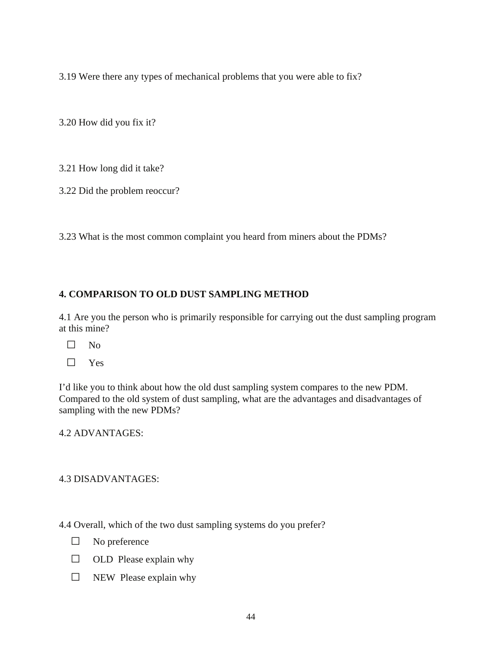3.19 Were there any types of mechanical problems that you were able to fix?

3.20 How did you fix it?

3.21 How long did it take?

3.22 Did the problem reoccur?

3.23 What is the most common complaint you heard from miners about the PDMs?

# **4. COMPARISON TO OLD DUST SAMPLING METHOD**

4.1 Are you the person who is primarily responsible for carrying out the dust sampling program at this mine?

- □ No
- □ Yes

I'd like you to think about how the old dust sampling system compares to the new PDM. Compared to the old system of dust sampling, what are the advantages and disadvantages of sampling with the new PDMs?

4.2 ADVANTAGES:

#### 4.3 DISADVANTAGES:

4.4 Overall, which of the two dust sampling systems do you prefer?

- □ No preference
- $\Box$  OLD Please explain why
- $\square$  NEW Please explain why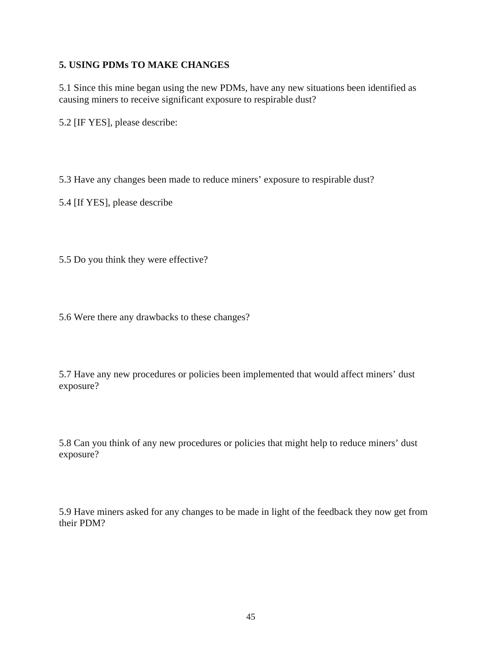# **5. USING PDMs TO MAKE CHANGES**

5.1 Since this mine began using the new PDMs, have any new situations been identified as causing miners to receive significant exposure to respirable dust?

5.2 [IF YES], please describe:

5.3 Have any changes been made to reduce miners' exposure to respirable dust?

5.4 [If YES], please describe

5.5 Do you think they were effective?

5.6 Were there any drawbacks to these changes?

5.7 Have any new procedures or policies been implemented that would affect miners' dust exposure?

5.8 Can you think of any new procedures or policies that might help to reduce miners' dust exposure?

5.9 Have miners asked for any changes to be made in light of the feedback they now get from their PDM?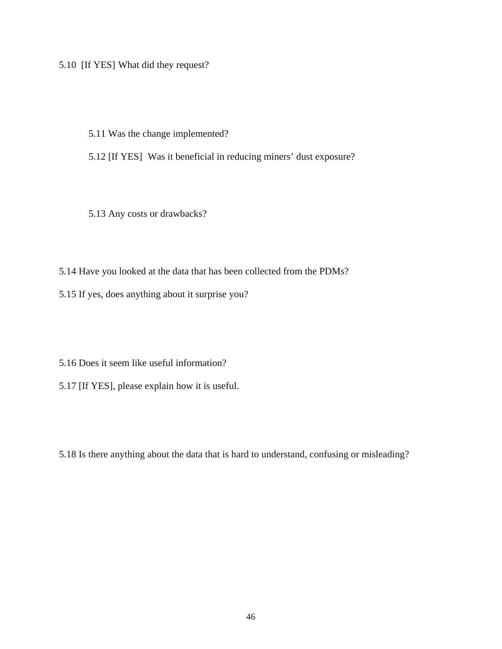5.10 [If YES] What did they request?

5.11 Was the change implemented?

5.12 [If YES] Was it beneficial in reducing miners' dust exposure?

5.13 Any costs or drawbacks?

5.14 Have you looked at the data that has been collected from the PDMs?

5.15 If yes, does anything about it surprise you?

5.16 Does it seem like useful information?

5.17 [If YES], please explain how it is useful.

5.18 Is there anything about the data that is hard to understand, confusing or misleading?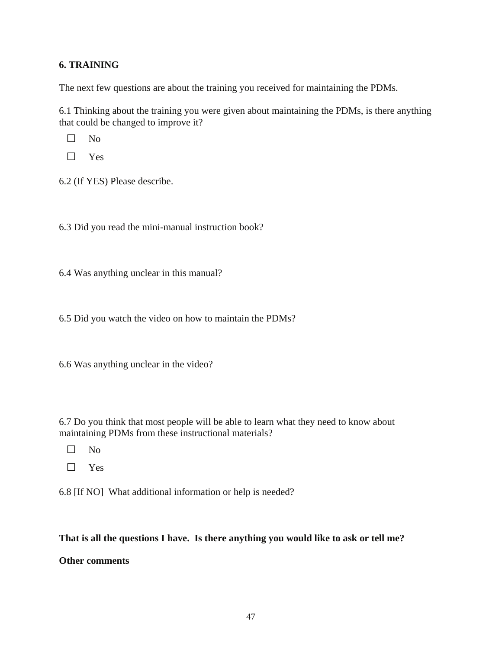# **6. TRAINING**

The next few questions are about the training you received for maintaining the PDMs.

6.1 Thinking about the training you were given about maintaining the PDMs, is there anything that could be changed to improve it?

 $\Box$  No

□ Yes

6.2 (If YES) Please describe.

6.3 Did you read the mini-manual instruction book?

6.4 Was anything unclear in this manual?

6.5 Did you watch the video on how to maintain the PDMs?

6.6 Was anything unclear in the video?

6.7 Do you think that most people will be able to learn what they need to know about maintaining PDMs from these instructional materials?

□ No

□ Yes

6.8 [If NO] What additional information or help is needed?

#### **That is all the questions I have. Is there anything you would like to ask or tell me?**

**Other comments**